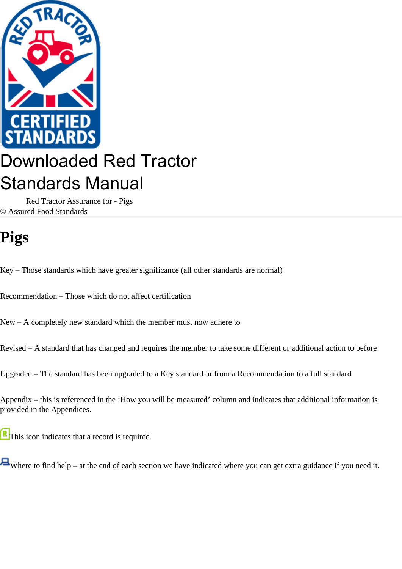

# Downloaded Red Tractor Standards Manual

 Red Tractor Assurance for - Pigs © Assured Food Standards

# **Pigs**

Key – Those standards which have greater significance (all other standards are normal)

Recommendation – Those which do not affect certification

New – A completely new standard which the member must now adhere to

Revised – A standard that has changed and requires the member to take some different or additional action to before

Upgraded – The standard has been upgraded to a Key standard or from a Recommendation to a full standard

Appendix – this is referenced in the 'How you will be measured' column and indicates that additional information is provided in the Appendices.

This icon indicates that a record is required.

Where to find help – at the end of each section we have indicated where you can get extra guidance if you need it.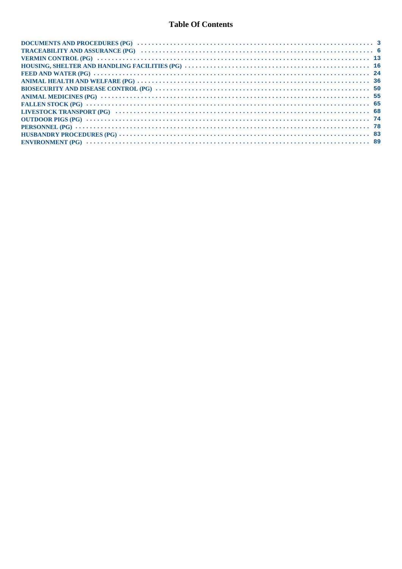## **Table Of Contents**

| FALLEN STOCK (PG) $\cdots$ $\cdots$ $\cdots$ $\cdots$ $\cdots$ $\cdots$ $\cdots$ $\cdots$ $\cdots$ $\cdots$ $\cdots$ $\cdots$ $\cdots$ $\cdots$ $\cdots$ $\cdots$ $\cdots$ $\cdots$ $\cdots$ $\cdots$ $\cdots$ $\cdots$ $\cdots$ $\cdots$ $\cdots$ $\cdots$ |  |
|-------------------------------------------------------------------------------------------------------------------------------------------------------------------------------------------------------------------------------------------------------------|--|
|                                                                                                                                                                                                                                                             |  |
| OUTDOOR PIGS (PG) $\cdots$ $\cdots$ $\cdots$ $\cdots$ $\cdots$ $\cdots$ $\cdots$ $\cdots$ $\cdots$ $\cdots$ $\cdots$ $\cdots$ $\cdots$ $\cdots$ $\cdots$ $\cdots$ $\cdots$ $\cdots$ $\cdots$ $\cdots$ $\cdots$ $\cdots$ $\cdots$                            |  |
|                                                                                                                                                                                                                                                             |  |
|                                                                                                                                                                                                                                                             |  |
| ENVIRONMENT (PG) $\cdots$ $\cdots$ $\cdots$ $\cdots$ $\cdots$ $\cdots$ $\cdots$ $\cdots$ $\cdots$ $\cdots$ $\cdots$ $\cdots$ $\cdots$ $\cdots$ $\cdots$ $\cdots$ $\cdots$ $\cdots$ $\cdots$ $\cdots$ $\cdots$ $\cdots$ $\cdots$ $\cdots$ $\cdots$           |  |
|                                                                                                                                                                                                                                                             |  |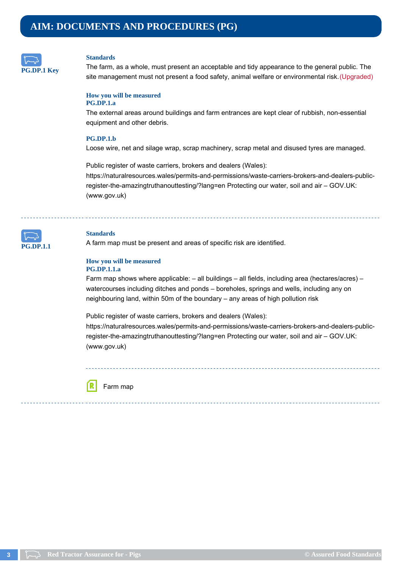<span id="page-2-0"></span>

The farm, as a whole, must present an acceptable and tidy appearance to the general public. The site management must not present a food safety, animal welfare or environmental risk. (Upgraded)

#### **How you will be measured PG.DP.1.a**

The external areas around buildings and farm entrances are kept clear of rubbish, non-essential equipment and other debris.

## **PG.DP.1.b**

Loose wire, net and silage wrap, scrap machinery, scrap metal and disused tyres are managed.

Public register of waste carriers, brokers and dealers (Wales): https://naturalresources.wales/permits-and-permissions/waste-carriers-brokers-and-dealers-publicregister-the-amazingtruthanouttesting/?lang=en Protecting our water, soil and air – GOV.UK: (www.gov.uk)



## **Standards**

A farm map must be present and areas of specific risk are identified.

#### **How you will be measured PG.DP.1.1.a**

Farm map shows where applicable: – all buildings – all fields, including area (hectares/acres) – watercourses including ditches and ponds – boreholes, springs and wells, including any on neighbouring land, within 50m of the boundary – any areas of high pollution risk

Public register of waste carriers, brokers and dealers (Wales):

https://naturalresources.wales/permits-and-permissions/waste-carriers-brokers-and-dealers-publicregister-the-amazingtruthanouttesting/?lang=en Protecting our water, soil and air – GOV.UK: (www.gov.uk)

Farm map

ſR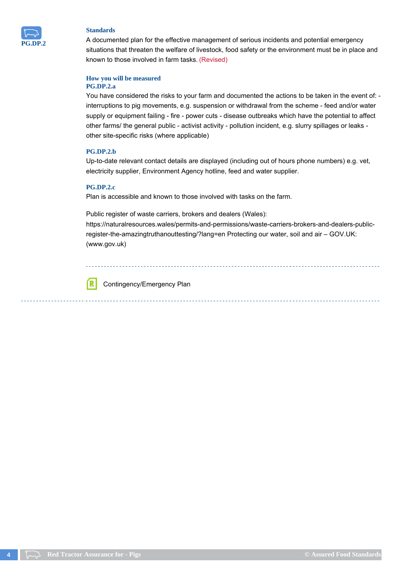

A documented plan for the effective management of serious incidents and potential emergency situations that threaten the welfare of livestock, food safety or the environment must be in place and known to those involved in farm tasks. (Revised)

## **How you will be measured PG.DP.2.a**

You have considered the risks to your farm and documented the actions to be taken in the event of: interruptions to pig movements, e.g. suspension or withdrawal from the scheme - feed and/or water supply or equipment failing - fire - power cuts - disease outbreaks which have the potential to affect other farms/ the general public - activist activity - pollution incident, e.g. slurry spillages or leaks other site-specific risks (where applicable)

## **PG.DP.2.b**

Up-to-date relevant contact details are displayed (including out of hours phone numbers) e.g. vet, electricity supplier, Environment Agency hotline, feed and water supplier.

## **PG.DP.2.c**

Plan is accessible and known to those involved with tasks on the farm.

Public register of waste carriers, brokers and dealers (Wales):

https://naturalresources.wales/permits-and-permissions/waste-carriers-brokers-and-dealers-publicregister-the-amazingtruthanouttesting/?lang=en Protecting our water, soil and air – GOV.UK: (www.gov.uk)

ſR Contingency/Emergency Plan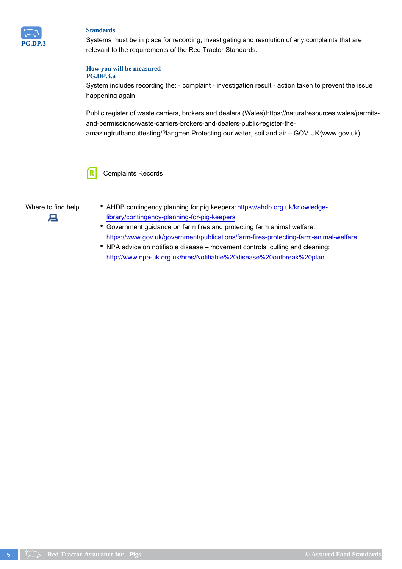

Systems must be in place for recording, investigating and resolution of any complaints that are relevant to the requirements of the Red Tractor Standards.

## **How you will be measured**

## **PG.DP.3.a**

System includes recording the: - complaint - investigation result - action taken to prevent the issue happening again

Public register of waste carriers, brokers and dealers (Wales) https://naturalresources.wales/permitsand-permissions/waste-carriers-brokers-and-dealers-public-register-theamazingtruthanouttesting/?lang=en Protecting our water, soil and air - GOV.UK(www.gov.uk)



Complaints Records

д

- Where to find help <br>AHDB contingency planning for pig keepers: https://ahdb.org.uk/knowledgelibrary/contingency-planning-for-pig-keepers
	- Government guidance on farm fires and protecting farm animal welfare: https://www.gov.uk/government/publications/farm-fires-protecting-farm-animal-welfare
	- NPA advice on notifiable disease movement controls, culling and cleaning: http://www.npa-uk.org.uk/hres/Notifiable%20disease%20outbreak%20plan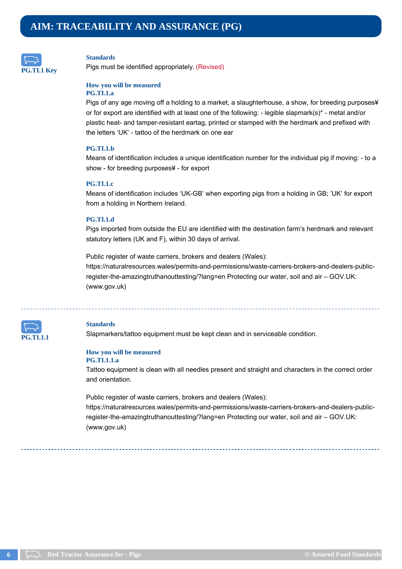<span id="page-5-0"></span>

Pigs must be identified appropriately. (Revised)

## **How you will be measured**

## **PG.TI.1.a**

Pigs of any age moving off a holding to a market, a slaughterhouse, a show, for breeding purposes¥ or for export are identified with at least one of the following: - legible slapmark(s)\* - metal and/or plastic heat- and tamper-resistant eartag, printed or stamped with the herdmark and prefixed with the letters 'UK' - tattoo of the herdmark on one ear

## **PG.TI.1.b**

Means of identification includes a unique identification number for the individual pig if moving: - to a show - for breeding purposes¥ - for export

#### **PG.TI.1.c**

Means of identification includes 'UK-GB' when exporting pigs from a holding in GB; 'UK' for export from a holding in Northern Ireland.

## **PG.TI.1.d**

Pigs imported from outside the EU are identified with the destination farm's herdmark and relevant statutory letters (UK and F), within 30 days of arrival.

Public register of waste carriers, brokers and dealers (Wales): https://naturalresources.wales/permits-and-permissions/waste-carriers-brokers-and-dealers-publicregister-the-amazingtruthanouttesting/?lang=en Protecting our water, soil and air – GOV.UK: (www.gov.uk)



#### **Standards**

Slapmarkers/tattoo equipment must be kept clean and in serviceable condition.

#### **How you will be measured**

#### **PG.TI.1.1.a**

Tattoo equipment is clean with all needles present and straight and characters in the correct order and orientation.

Public register of waste carriers, brokers and dealers (Wales): https://naturalresources.wales/permits-and-permissions/waste-carriers-brokers-and-dealers-publicregister-the-amazingtruthanouttesting/?lang=en Protecting our water, soil and air – GOV.UK: (www.gov.uk)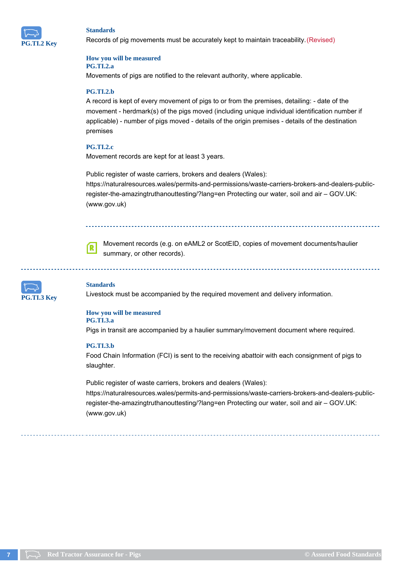

Records of pig movements must be accurately kept to maintain traceability. (Revised)

#### **How you will be measured PG.TI.2.a**

Movements of pigs are notified to the relevant authority, where applicable.

## **PG.TI.2.b**

A record is kept of every movement of pigs to or from the premises, detailing: - date of the movement - herdmark(s) of the pigs moved (including unique individual identification number if applicable) - number of pigs moved - details of the origin premises - details of the destination premises

## **PG.TI.2.c**

Movement records are kept for at least 3 years.

Public register of waste carriers, brokers and dealers (Wales): https://naturalresources.wales/permits-and-permissions/waste-carriers-brokers-and-dealers-publicregister-the-amazingtruthanouttesting/?lang=en Protecting our water, soil and air – GOV.UK: (www.gov.uk)



Movement records (e.g. on eAML2 or ScotEID, copies of movement documents/haulier summary, or other records).



#### **Standards**

Livestock must be accompanied by the required movement and delivery information.

#### **How you will be measured PG.TI.3.a**

Pigs in transit are accompanied by a haulier summary/movement document where required.

#### **PG.TI.3.b**

Food Chain Information (FCI) is sent to the receiving abattoir with each consignment of pigs to slaughter.

Public register of waste carriers, brokers and dealers (Wales): https://naturalresources.wales/permits-and-permissions/waste-carriers-brokers-and-dealers-publicregister-the-amazingtruthanouttesting/?lang=en Protecting our water, soil and air – GOV.UK: (www.gov.uk)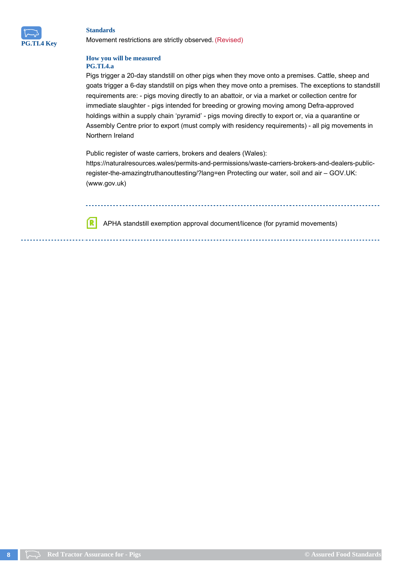

ſR

Movement restrictions are strictly observed. (Revised)

## **How you will be measured PG.TI.4.a**

Pigs trigger a 20-day standstill on other pigs when they move onto a premises. Cattle, sheep and goats trigger a 6-day standstill on pigs when they move onto a premises. The exceptions to standstill requirements are: - pigs moving directly to an abattoir, or via a market or collection centre for immediate slaughter - pigs intended for breeding or growing moving among Defra-approved holdings within a supply chain 'pyramid' - pigs moving directly to export or, via a quarantine or Assembly Centre prior to export (must comply with residency requirements) - all pig movements in Northern Ireland

Public register of waste carriers, brokers and dealers (Wales):

https://naturalresources.wales/permits-and-permissions/waste-carriers-brokers-and-dealers-publicregister-the-amazingtruthanouttesting/?lang=en Protecting our water, soil and air – GOV.UK: (www.gov.uk)

APHA standstill exemption approval document/licence (for pyramid movements)

**8 Red Tractor Assurance for - Pigs COM COMPANIES COMPANIES COMPANIES © Assured Food Standards**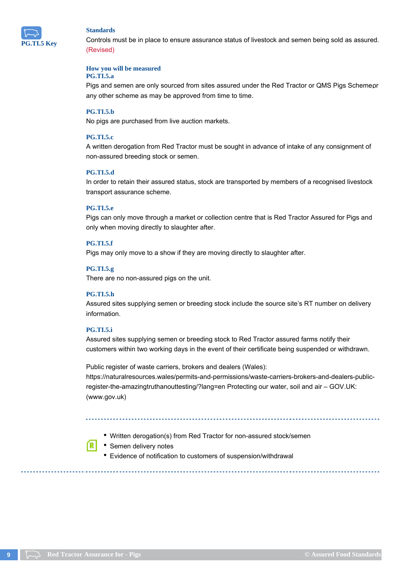

Controls must be in place to ensure assurance status of livestock and semen being sold as assured. (Revised)

#### **How you will be measured**

## **PG.TI.5.a**

Pigs and semen are only sourced from sites assured under the Red Tractor or QMS Pigs Schemepr any other scheme as may be approved from time to time.

## **PG.TI.5.b**

No pigs are purchased from live auction markets.

## **PG.TI.5.c**

A written derogation from Red Tractor must be sought in advance of intake of any consignment of non-assured breeding stock or semen.

#### **PG.TI.5.d**

In order to retain their assured status, stock are transported by members of a recognised livestock transport assurance scheme.

#### **PG.TI.5.e**

Pigs can only move through a market or collection centre that is Red Tractor Assured for Pigs and only when moving directly to slaughter after.

## **PG.TI.5.f**

Pigs may only move to a show if they are moving directly to slaughter after.

## **PG.TI.5.g**

There are no non-assured pigs on the unit.

## **PG.TI.5.h**

Assured sites supplying semen or breeding stock include the source site's RT number on delivery information.

## **PG.TI.5.i**

Assured sites supplying semen or breeding stock to Red Tractor assured farms notify their customers within two working days in the event of their certificate being suspended or withdrawn.

Public register of waste carriers, brokers and dealers (Wales):

https://naturalresources.wales/permits-and-permissions/waste-carriers-brokers-and-dealers-publicregister-the-amazingtruthanouttesting/?lang=en Protecting our water, soil and air – GOV.UK: (www.gov.uk)

- Written derogation(s) from Red Tractor for non-assured stock/semen
- Semen delivery notes
- Evidence of notification to customers of suspension/withdrawal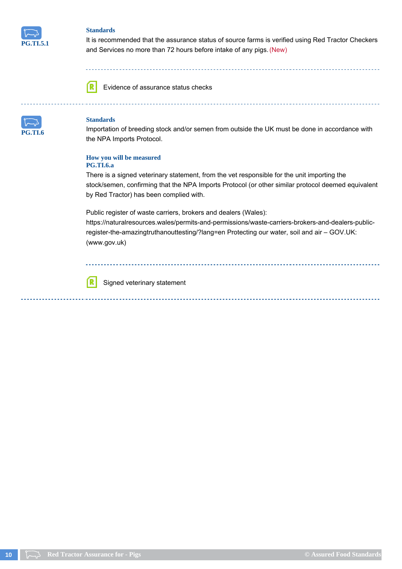

It is recommended that the assurance status of source farms is verified using Red Tractor Checkers and Services no more than 72 hours before intake of any pigs. (New)

ſR

Evidence of assurance status checks



## **Standards**

ſR

Importation of breeding stock and/or semen from outside the UK must be done in accordance with the NPA Imports Protocol.

#### **How you will be measured PG.TI.6.a**

There is a signed veterinary statement, from the vet responsible for the unit importing the stock/semen, confirming that the NPA Imports Protocol (or other similar protocol deemed equivalent by Red Tractor) has been complied with.

Public register of waste carriers, brokers and dealers (Wales):

https://naturalresources.wales/permits-and-permissions/waste-carriers-brokers-and-dealers-publicregister-the-amazingtruthanouttesting/?lang=en Protecting our water, soil and air – GOV.UK: (www.gov.uk)

Signed veterinary statement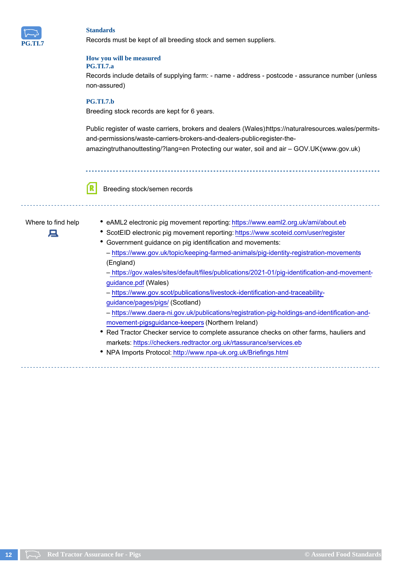

Records must be kept of all breeding stock and semen suppliers.

#### **How you will be measured PG.TI.7.a**

Records include details of supplying farm: - name - address - postcode - assurance number (unless non-assured)

## **PG.TI.7.b**

Breeding stock records are kept for 6 years.

Public register of waste carriers, brokers and dealers (Wales)https://naturalresources.wales/permitsand-permissions/waste-carriers-brokers-and-dealers-public-register-theamazingtruthanouttesting/?lang=en Protecting our water, soil and air – GOV.UK:(www.gov.uk)

Breeding stock/semen records

# д

- Where to find help eAML2 electronic pig movement reporting: https://www.eaml2.org.uk/ami/about.eb
	- ScotEID electronic pig movement reporting: https://www.scoteid.com/user/register
	- Government guidance on pig identification and movements:
		- https://www.gov.uk/topic/keeping-farmed-animals/pig-identity-registration-movements (England)

– https://gov.wales/sites/default/files/publications/2021-01/pig-identification-and-movementguidance.pdf (Wales)

- https://www.gov.scot/publications/livestock-identification-and-traceabilityguidance/pages/pigs/ (Scotland)
- https://www.daera-ni.gov.uk/publications/registration-pig-holdings-and-identification-andmovement-pigsguidance-keepers (Northern Ireland)
- Red Tractor Checker service to complete assurance checks on other farms, hauliers and markets: https://checkers.redtractor.org.uk/rtassurance/services.eb
- NPA Imports Protocol: http://www.npa-uk.org.uk/Briefings.html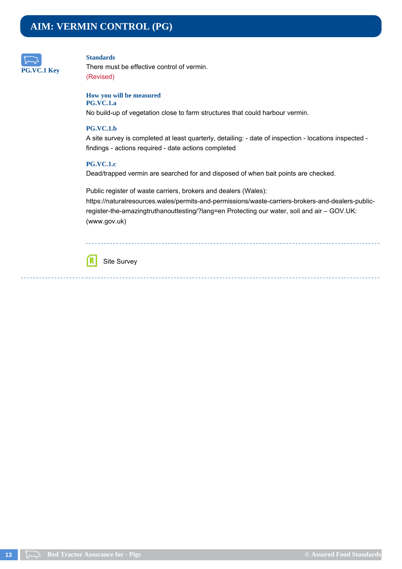# <span id="page-12-0"></span>**AIM: VERMIN CONTROL (PG)**



## **Standards**

There must be effective control of vermin. (Revised)

#### **How you will be measured PG.VC.1.a**

No build-up of vegetation close to farm structures that could harbour vermin.

## **PG.VC.1.b**

A site survey is completed at least quarterly, detailing: - date of inspection - locations inspected findings - actions required - date actions completed

## **PG.VC.1.c**

Dead/trapped vermin are searched for and disposed of when bait points are checked.

Public register of waste carriers, brokers and dealers (Wales): https://naturalresources.wales/permits-and-permissions/waste-carriers-brokers-and-dealers-publicregister-the-amazingtruthanouttesting/?lang=en Protecting our water, soil and air – GOV.UK: (www.gov.uk)

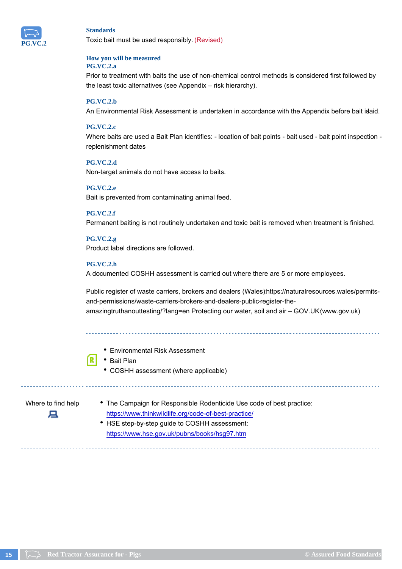

Toxic bait must be used responsibly. (Revised)

#### **How you will be measured PG.VC.2.a**

Prior to treatment with baits the use of non-chemical control methods is considered first followed by the least toxic alternatives (see Appendix – risk hierarchy).

## **PG.VC.2.b**

An Environmental Risk Assessment is undertaken in accordance with the Appendix before bait islaid.

## **PG.VC.2.c**

Where baits are used a Bait Plan identifies: - location of bait points - bait used - bait point inspection replenishment dates

## **PG.VC.2.d**

Non-target animals do not have access to baits.

## **PG.VC.2.e**

Bait is prevented from contaminating animal feed.

## **PG.VC.2.f**

Permanent baiting is not routinely undertaken and toxic bait is removed when treatment is finished.

## **PG.VC.2.g**

Product label directions are followed.

## **PG.VC.2.h**

A documented COSHH assessment is carried out where there are 5 or more employees.

Public register of waste carriers, brokers and dealers (Wales) https://naturalresources.wales/permitsand-permissions/waste-carriers-brokers-and-dealers-public-register-theamazingtruthanouttesting/?lang=en Protecting our water, soil and air – GOV.UK:(www.gov.uk)

- Environmental Risk Assessment
- Bait Plan
	- COSHH assessment (where applicable)

д

- Where to find help The Campaign for Responsible Rodenticide Use code of best practice: https://www.thinkwildlife.org/code-of-best-practice/
	- HSE step-by-step guide to COSHH assessment: https://www.hse.gov.uk/pubns/books/hsg97.htm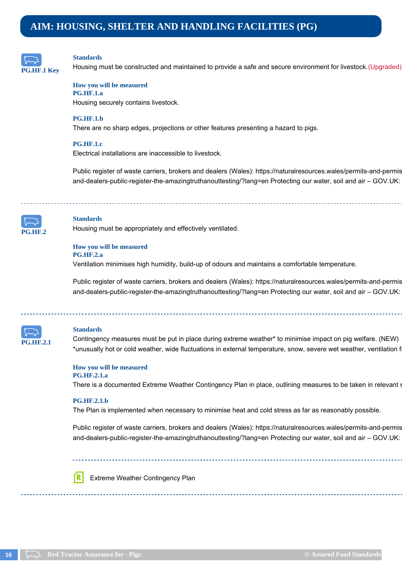# <span id="page-15-0"></span>**AIM: HOUSING, SHELTER AND HANDLING FACILITIES (PG)**



#### **Standards**

Housing must be constructed and maintained to provide a safe and secure environment for livestock. (Upgraded)

**How you will be measured PG.HF.1.a** Housing securely contains livestock.

#### **PG.HF.1.b**

There are no sharp edges, projections or other features presenting a hazard to pigs.

## **PG.HF.1.c**

Electrical installations are inaccessible to livestock.

Public register of waste carriers, brokers and dealers (Wales): https://naturalresources.wales/permits-and-permis and-dealers-public-register-the-amazingtruthanouttesting/?lang=en Protecting our water, soil and air – GOV.UK:



## **Standards**

Housing must be appropriately and effectively ventilated.

#### **How you will be measured PG.HF.2.a**

Ventilation minimises high humidity, build-up of odours and maintains a comfortable temperature.

Public register of waste carriers, brokers and dealers (Wales): https://naturalresources.wales/permits-and-permis and-dealers-public-register-the-amazingtruthanouttesting/?lang=en Protecting our water, soil and air – GOV.UK:



#### **Standards**

Contingency measures must be put in place during extreme weather\* to minimise impact on pig welfare. (NEW) \*unusually hot or cold weather, wide fluctuations in external temperature, snow, severe wet weather, ventilation f

**How you will be measured PG.HF.2.1.a**

There is a documented Extreme Weather Contingency Plan in place, outlining measures to be taken in relevant situations.

#### **PG.HF.2.1.b**

The Plan is implemented when necessary to minimise heat and cold stress as far as reasonably possible.

Public register of waste carriers, brokers and dealers (Wales): https://naturalresources.wales/permits-and-permis and-dealers-public-register-the-amazingtruthanouttesting/?lang=en Protecting our water, soil and air – GOV.UK:

Extreme Weather Contingency Plan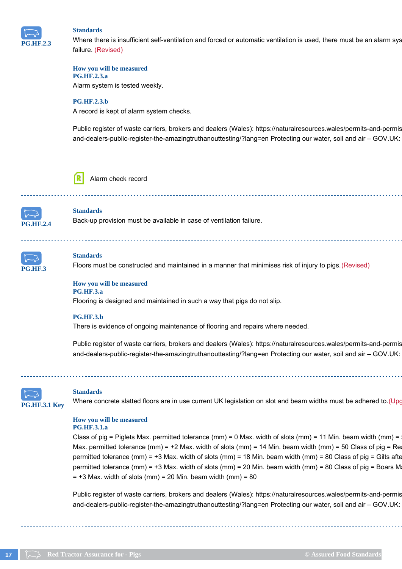

Where there is insufficient self-ventilation and forced or automatic ventilation is used, there must be an alarm sys failure. (Revised)

#### **How you will be measured PG.HF.2.3.a**

Alarm system is tested weekly.

## **PG.HF.2.3.b**

A record is kept of alarm system checks.

Public register of waste carriers, brokers and dealers (Wales): https://naturalresources.wales/permits-and-permis and-dealers-public-register-the-amazingtruthanouttesting/?lang=en Protecting our water, soil and air – GOV.UK:



#### Alarm check record



## **Standards**

Back-up provision must be available in case of ventilation failure.



## **Standards**

Floors must be constructed and maintained in a manner that minimises risk of injury to pigs. (Revised)

#### **How you will be measured PG.HF.3.a**

Flooring is designed and maintained in such a way that pigs do not slip.

#### **PG.HF.3.b**

There is evidence of ongoing maintenance of flooring and repairs where needed.

Public register of waste carriers, brokers and dealers (Wales): https://naturalresources.wales/permits-and-permis and-dealers-public-register-the-amazingtruthanouttesting/?lang=en Protecting our water, soil and air – GOV.UK:



#### **Standards**

Where concrete slatted floors are in use current UK legislation on slot and beam widths must be adhered to. (Upg

## **How you will be measured**

## **PG.HF.3.1.a**

Class of pig = Piglets Max. permitted tolerance (mm) = 0 Max. width of slots (mm) = 11 Min. beam width (mm) = Max. permitted tolerance (mm) = +2 Max. width of slots (mm) = 14 Min. beam width (mm) = 50 Class of pig = Re permitted tolerance (mm) = +3 Max. width of slots (mm) = 18 Min. beam width (mm) = 80 Class of pig = Gilts after permitted tolerance (mm) = +3 Max. width of slots (mm) = 20 Min. beam width (mm) = 80 Class of pig = Boars M  $= +3$  Max. width of slots (mm) = 20 Min. beam width (mm) = 80

Public register of waste carriers, brokers and dealers (Wales): https://naturalresources.wales/permits-and-permis and-dealers-public-register-the-amazingtruthanouttesting/?lang=en Protecting our water, soil and air – GOV.UK: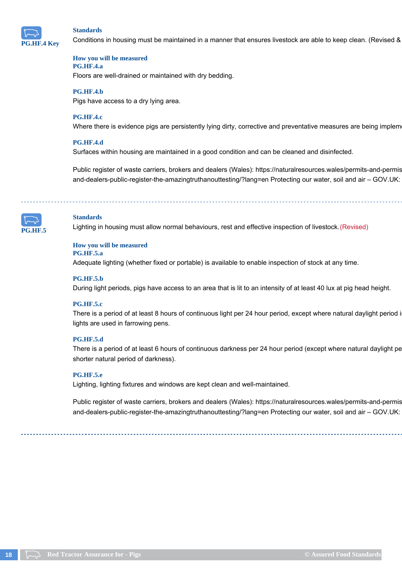

Conditions in housing must be maintained in a manner that ensures livestock are able to keep clean. (Revised &

#### **How you will be measured PG.HF.4.a**

Floors are well-drained or maintained with dry bedding.

## **PG.HF.4.b**

Pigs have access to a dry lying area.

## **PG.HF.4.c**

Where there is evidence pigs are persistently lying dirty, corrective and preventative measures are being implem

## **PG.HF.4.d**

Surfaces within housing are maintained in a good condition and can be cleaned and disinfected.

Public register of waste carriers, brokers and dealers (Wales): https://naturalresources.wales/permits-and-permis and-dealers-public-register-the-amazingtruthanouttesting/?lang=en Protecting our water, soil and air – GOV.UK:



## **Standards**

Lighting in housing must allow normal behaviours, rest and effective inspection of livestock. (Revised)

## **How you will be measured**

## **PG.HF.5.a**

Adequate lighting (whether fixed or portable) is available to enable inspection of stock at any time.

#### **PG.HF.5.b**

During light periods, pigs have access to an area that is lit to an intensity of at least 40 lux at pig head height.

#### **PG.HF.5.c**

There is a period of at least 8 hours of continuous light per 24 hour period, except where natural daylight period i lights are used in farrowing pens.

#### **PG.HF.5.d**

There is a period of at least 6 hours of continuous darkness per 24 hour period (except where natural daylight pe shorter natural period of darkness).

#### **PG.HF.5.e**

Lighting, lighting fixtures and windows are kept clean and well-maintained.

Public register of waste carriers, brokers and dealers (Wales): https://naturalresources.wales/permits-and-permis and-dealers-public-register-the-amazingtruthanouttesting/?lang=en Protecting our water, soil and air – GOV.UK: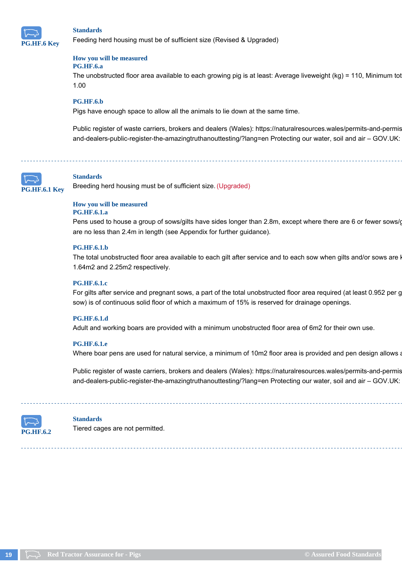

Feeding herd housing must be of sufficient size (Revised & Upgraded)

#### **How you will be measured PG.HF.6.a**

The unobstructed floor area available to each growing pig is at least: Average liveweight (kg) = 110, Minimum tot 1.00

## **PG.HF.6.b**

Pigs have enough space to allow all the animals to lie down at the same time.

Public register of waste carriers, brokers and dealers (Wales): https://naturalresources.wales/permits-and-permis and-dealers-public-register-the-amazingtruthanouttesting/?lang=en Protecting our water, soil and air – GOV.UK:



## **Standards**

Breeding herd housing must be of sufficient size. (Upgraded)



## **PG.HF.6.1.a**

Pens used to house a group of sows/gilts have sides longer than 2.8m, except where there are 6 or fewer sows/ are no less than 2.4m in length (see Appendix for further guidance).

## **PG.HF.6.1.b**

The total unobstructed floor area available to each gilt after service and to each sow when gilts and/or sows are I 1.64m2 and 2.25m2 respectively.

#### **PG.HF.6.1.c**

For gilts after service and pregnant sows, a part of the total unobstructed floor area required (at least 0.952 per g sow) is of continuous solid floor of which a maximum of 15% is reserved for drainage openings.

#### **PG.HF.6.1.d**

Adult and working boars are provided with a minimum unobstructed floor area of 6m2 for their own use.

#### **PG.HF.6.1.e**

Where boar pens are used for natural service, a minimum of 10m2 floor area is provided and pen design allows a

Public register of waste carriers, brokers and dealers (Wales): https://naturalresources.wales/permits-and-permis and-dealers-public-register-the-amazingtruthanouttesting/?lang=en Protecting our water, soil and air – GOV.UK:



#### **Standards**

Tiered cages are not permitted.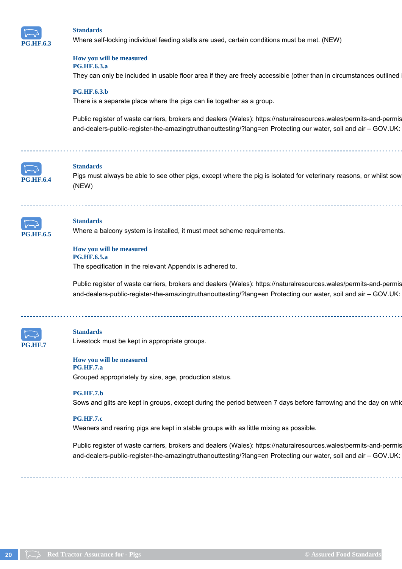

Where self-locking individual feeding stalls are used, certain conditions must be met. (NEW)

#### **How you will be measured PG.HF.6.3.a**

They can only be included in usable floor area if they are freely accessible (other than in circumstances outlined

## **PG.HF.6.3.b**

There is a separate place where the pigs can lie together as a group.

Public register of waste carriers, brokers and dealers (Wales): https://naturalresources.wales/permits-and-permis and-dealers-public-register-the-amazingtruthanouttesting/?lang=en Protecting our water, soil and air – GOV.UK:



## **Standards**

Pigs must always be able to see other pigs, except where the pig is isolated for veterinary reasons, or whilst sow (NEW)



## **Standards**

Where a balcony system is installed, it must meet scheme requirements.

## **How you will be measured PG.HF.6.5.a**

The specification in the relevant Appendix is adhered to.

Public register of waste carriers, brokers and dealers (Wales): https://naturalresources.wales/permits-and-permis and-dealers-public-register-the-amazingtruthanouttesting/?lang=en Protecting our water, soil and air – GOV.UK:



## **Standards**

Livestock must be kept in appropriate groups.

## **How you will be measured**

#### **PG.HF.7.a**

Grouped appropriately by size, age, production status.

#### **PG.HF.7.b**

Sows and gilts are kept in groups, except during the period between 7 days before farrowing and the day on which

#### **PG.HF.7.c**

Weaners and rearing pigs are kept in stable groups with as little mixing as possible.

Public register of waste carriers, brokers and dealers (Wales): https://naturalresources.wales/permits-and-permis and-dealers-public-register-the-amazingtruthanouttesting/?lang=en Protecting our water, soil and air – GOV.UK: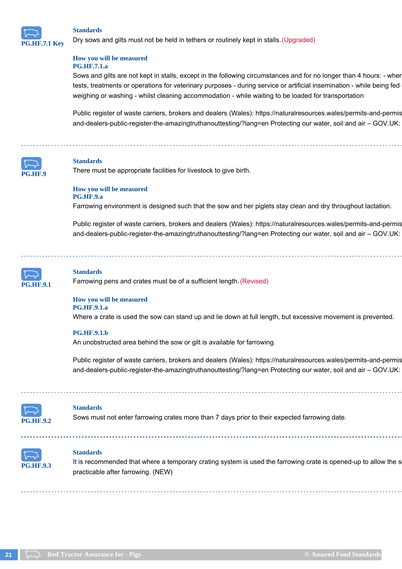

Dry sows and gilts must not be held in tethers or routinely kept in stalls. (Upgraded)

## **How you will be measured PG.HF.7.1.a**

Sows and gilts are not kept in stalls, except in the following circumstances and for no longer than 4 hours: - wher tests, treatments or operations for veterinary purposes - during service or artificial insemination - while being fed weighing or washing - whilst cleaning accommodation - while waiting to be loaded for transportation

Public register of waste carriers, brokers and dealers (Wales): https://naturalresources.wales/permits-and-permis and-dealers-public-register-the-amazingtruthanouttesting/?lang=en Protecting our water, soil and air – GOV.UK:



#### **Standards**

There must be appropriate facilities for livestock to give birth.

#### **How you will be measured PG.HF.9.a**

Farrowing environment is designed such that the sow and her piglets stay clean and dry throughout lactation.

Public register of waste carriers, brokers and dealers (Wales): https://naturalresources.wales/permits-and-permis and-dealers-public-register-the-amazingtruthanouttesting/?lang=en Protecting our water, soil and air – GOV.UK:



#### **Standards**

Farrowing pens and crates must be of a sufficient length. (Revised)

#### **How you will be measured PG.HF.9.1.a**

Where a crate is used the sow can stand up and lie down at full length, but excessive movement is prevented.

#### **PG.HF.9.1.b**

An unobstructed area behind the sow or gilt is available for farrowing.

Public register of waste carriers, brokers and dealers (Wales): https://naturalresources.wales/permits-and-permis and-dealers-public-register-the-amazingtruthanouttesting/?lang=en Protecting our water, soil and air – GOV.UK:



#### **Standards**

Sows must not enter farrowing crates more than 7 days prior to their expected farrowing date.



## **Standards**

It is recommended that where a temporary crating system is used the farrowing crate is opened-up to allow the s practicable after farrowing. (NEW)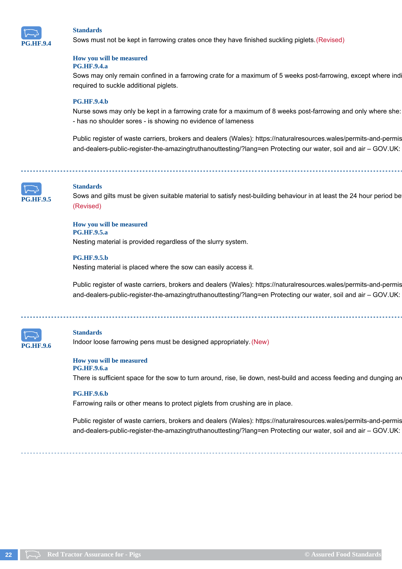

Sows must not be kept in farrowing crates once they have finished suckling piglets. (Revised)

#### **How you will be measured PG.HF.9.4.a**

Sows may only remain confined in a farrowing crate for a maximum of 5 weeks post-farrowing, except where ind required to suckle additional piglets.

## **PG.HF.9.4.b**

Nurse sows may only be kept in a farrowing crate for a maximum of 8 weeks post-farrowing and only where she: - has no shoulder sores - is showing no evidence of lameness

Public register of waste carriers, brokers and dealers (Wales): https://naturalresources.wales/permits-and-permis and-dealers-public-register-the-amazingtruthanouttesting/?lang=en Protecting our water, soil and air – GOV.UK:



## **Standards**

Sows and gilts must be given suitable material to satisfy nest-building behaviour in at least the 24 hour period be (Revised)

**How you will be measured PG.HF.9.5.a** Nesting material is provided regardless of the slurry system.

#### **PG.HF.9.5.b**

Nesting material is placed where the sow can easily access it.

Public register of waste carriers, brokers and dealers (Wales): https://naturalresources.wales/permits-and-permis and-dealers-public-register-the-amazingtruthanouttesting/?lang=en Protecting our water, soil and air – GOV.UK:



#### **Standards**

Indoor loose farrowing pens must be designed appropriately. (New)

#### **How you will be measured**

**PG.HF.9.6.a** There is sufficient space for the sow to turn around, rise, lie down, nest-build and access feeding and dunging are

#### **PG.HF.9.6.b**

Farrowing rails or other means to protect piglets from crushing are in place.

Public register of waste carriers, brokers and dealers (Wales): https://naturalresources.wales/permits-and-permis and-dealers-public-register-the-amazingtruthanouttesting/?lang=en Protecting our water, soil and air – GOV.UK: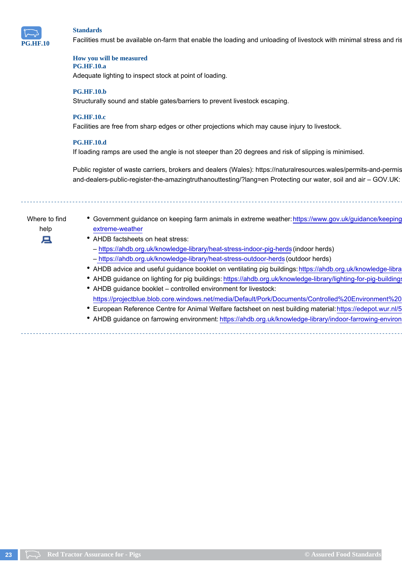

Facilities must be available on-farm that enable the loading and unloading of livestock with minimal stress and ris

#### **How you will be measured PG.HF.10.a**

Adequate lighting to inspect stock at point of loading.

## **PG.HF.10.b**

Structurally sound and stable gates/barriers to prevent livestock escaping.

## **PG.HF.10.c**

Facilities are free from sharp edges or other projections which may cause injury to livestock.

## **PG.HF.10.d**

If loading ramps are used the angle is not steeper than 20 degrees and risk of slipping is minimised.

Public register of waste carriers, brokers and dealers (Wales): https://naturalresources.wales/permits-and-permis and-dealers-public-register-the-amazingtruthanouttesting/?lang=en Protecting our water, soil and air – GOV.UK:

Where to find

- help
- 旦
- Government guidance on keeping farm animals in extreme weather: https://www.gov.uk/guidance/keeping extreme-weather
- AHDB factsheets on heat stress: – https://ahdb.org.uk/knowledge-library/heat-stress-indoor-pig-herds (indoor herds)
	- https://ahdb.org.uk/knowledge-library/heat-stress-outdoor-herds (outdoor herds)
- AHDB advice and useful guidance booklet on ventilating pig buildings: https://ahdb.org.uk/knowledge-libra
- AHDB guidance on lighting for pig buildings: https://ahdb.org.uk/knowledge-library/lighting-for-pig-buildings
- AHDB guidance booklet controlled environment for livestock: https://projectblue.blob.core.windows.net/media/Default/Pork/Documents/Controlled%20Environment%20
- European Reference Centre for Animal Welfare factsheet on nest building material: https://edepot.wur.nl/516953
- AHDB guidance on farrowing environment: https://ahdb.org.uk/knowledge-library/indoor-farrowing-environ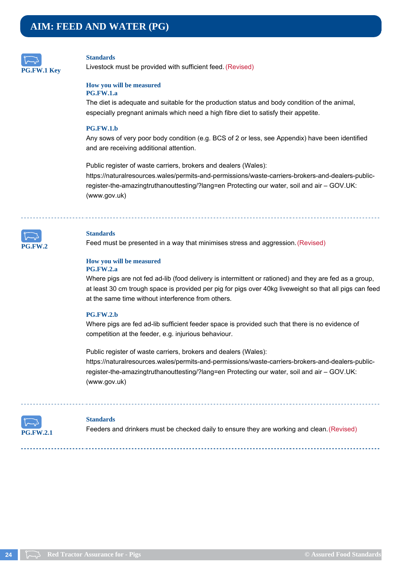<span id="page-23-0"></span>

Livestock must be provided with sufficient feed. (Revised)

## **How you will be measured**

## **PG.FW.1.a**

The diet is adequate and suitable for the production status and body condition of the animal, especially pregnant animals which need a high fibre diet to satisfy their appetite.

## **PG.FW.1.b**

Any sows of very poor body condition (e.g. BCS of 2 or less, see Appendix) have been identified and are receiving additional attention.

Public register of waste carriers, brokers and dealers (Wales): https://naturalresources.wales/permits-and-permissions/waste-carriers-brokers-and-dealers-publicregister-the-amazingtruthanouttesting/?lang=en Protecting our water, soil and air – GOV.UK: (www.gov.uk)



## **Standards**

Feed must be presented in a way that minimises stress and aggression. (Revised)

#### **How you will be measured PG.FW.2.a**

Where pigs are not fed ad-lib (food delivery is intermittent or rationed) and they are fed as a group, at least 30 cm trough space is provided per pig for pigs over 40kg liveweight so that all pigs can feed at the same time without interference from others.

## **PG.FW.2.b**

Where pigs are fed ad-lib sufficient feeder space is provided such that there is no evidence of competition at the feeder, e.g. injurious behaviour.

Public register of waste carriers, brokers and dealers (Wales): https://naturalresources.wales/permits-and-permissions/waste-carriers-brokers-and-dealers-publicregister-the-amazingtruthanouttesting/?lang=en Protecting our water, soil and air – GOV.UK: (www.gov.uk)



#### **Standards**

Feeders and drinkers must be checked daily to ensure they are working and clean. (Revised)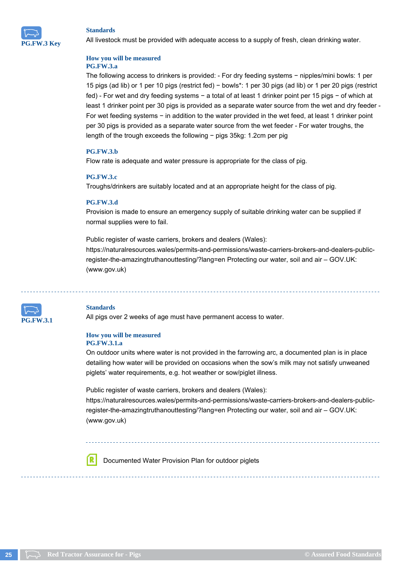

All livestock must be provided with adequate access to a supply of fresh, clean drinking water.

#### **How you will be measured PG.FW.3.a**

The following access to drinkers is provided: - For dry feeding systems − nipples/mini bowls: 1 per 15 pigs (ad lib) or 1 per 10 pigs (restrict fed) − bowls\*: 1 per 30 pigs (ad lib) or 1 per 20 pigs (restrict fed) - For wet and dry feeding systems − a total of at least 1 drinker point per 15 pigs − of which at least 1 drinker point per 30 pigs is provided as a separate water source from the wet and dry feeder - For wet feeding systems − in addition to the water provided in the wet feed, at least 1 drinker point per 30 pigs is provided as a separate water source from the wet feeder - For water troughs, the length of the trough exceeds the following − pigs 35kg: 1.2cm per pig

## **PG.FW.3.b**

Flow rate is adequate and water pressure is appropriate for the class of pig.

## **PG.FW.3.c**

Troughs/drinkers are suitably located and at an appropriate height for the class of pig.

## **PG.FW.3.d**

Provision is made to ensure an emergency supply of suitable drinking water can be supplied if normal supplies were to fail.

Public register of waste carriers, brokers and dealers (Wales): https://naturalresources.wales/permits-and-permissions/waste-carriers-brokers-and-dealers-publicregister-the-amazingtruthanouttesting/?lang=en Protecting our water, soil and air – GOV.UK: (www.gov.uk)



## **Standards**

All pigs over 2 weeks of age must have permanent access to water.

## **How you will be measured PG.FW.3.1.a**

On outdoor units where water is not provided in the farrowing arc, a documented plan is in place detailing how water will be provided on occasions when the sow's milk may not satisfy unweaned piglets' water requirements, e.g. hot weather or sow/piglet illness.

Public register of waste carriers, brokers and dealers (Wales):

https://naturalresources.wales/permits-and-permissions/waste-carriers-brokers-and-dealers-publicregister-the-amazingtruthanouttesting/?lang=en Protecting our water, soil and air – GOV.UK: (www.gov.uk)

Documented Water Provision Plan for outdoor piglets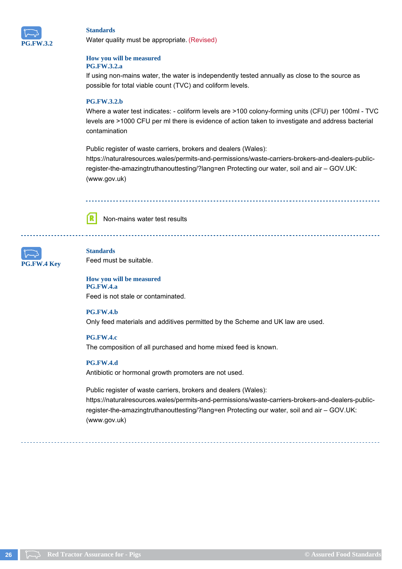

Water quality must be appropriate. (Revised)

#### **How you will be measured PG.FW.3.2.a**

If using non-mains water, the water is independently tested annually as close to the source as possible for total viable count (TVC) and coliform levels.

## **PG.FW.3.2.b**

Where a water test indicates: - coliform levels are >100 colony-forming units (CFU) per 100ml - TVC levels are >1000 CFU per ml there is evidence of action taken to investigate and address bacterial contamination

Public register of waste carriers, brokers and dealers (Wales): https://naturalresources.wales/permits-and-permissions/waste-carriers-brokers-and-dealers-publicregister-the-amazingtruthanouttesting/?lang=en Protecting our water, soil and air – GOV.UK: (www.gov.uk)



Non-mains water test results



## **Standards** Feed must be suitable.

**How you will be measured PG.FW.4.a** Feed is not stale or contaminated.

## **PG.FW.4.b**

Only feed materials and additives permitted by the Scheme and UK law are used.

**PG.FW.4.c**

The composition of all purchased and home mixed feed is known.

## **PG.FW.4.d**

Antibiotic or hormonal growth promoters are not used.

Public register of waste carriers, brokers and dealers (Wales): https://naturalresources.wales/permits-and-permissions/waste-carriers-brokers-and-dealers-publicregister-the-amazingtruthanouttesting/?lang=en Protecting our water, soil and air – GOV.UK: (www.gov.uk)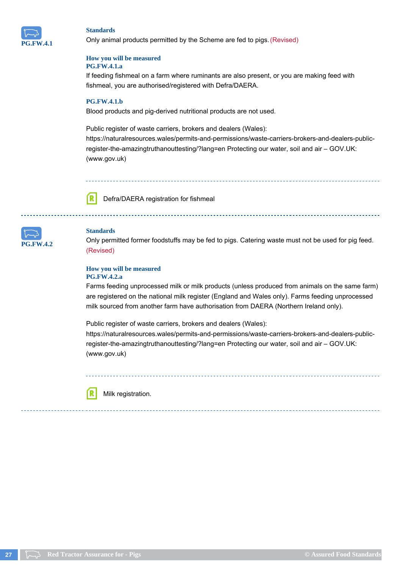

Only animal products permitted by the Scheme are fed to pigs. (Revised)

#### **How you will be measured PG.FW.4.1.a**

If feeding fishmeal on a farm where ruminants are also present, or you are making feed with fishmeal, you are authorised/registered with Defra/DAERA.

## **PG.FW.4.1.b**

Blood products and pig-derived nutritional products are not used.

Public register of waste carriers, brokers and dealers (Wales): https://naturalresources.wales/permits-and-permissions/waste-carriers-brokers-and-dealers-publicregister-the-amazingtruthanouttesting/?lang=en Protecting our water, soil and air – GOV.UK: (www.gov.uk)



Defra/DAERA registration for fishmeal



## **Standards**

Only permitted former foodstuffs may be fed to pigs. Catering waste must not be used for pig feed. (Revised)

#### **How you will be measured PG.FW.4.2.a**

Farms feeding unprocessed milk or milk products (unless produced from animals on the same farm) are registered on the national milk register (England and Wales only). Farms feeding unprocessed milk sourced from another farm have authorisation from DAERA (Northern Ireland only).

Public register of waste carriers, brokers and dealers (Wales): https://naturalresources.wales/permits-and-permissions/waste-carriers-brokers-and-dealers-publicregister-the-amazingtruthanouttesting/?lang=en Protecting our water, soil and air – GOV.UK: (www.gov.uk)



Milk registration.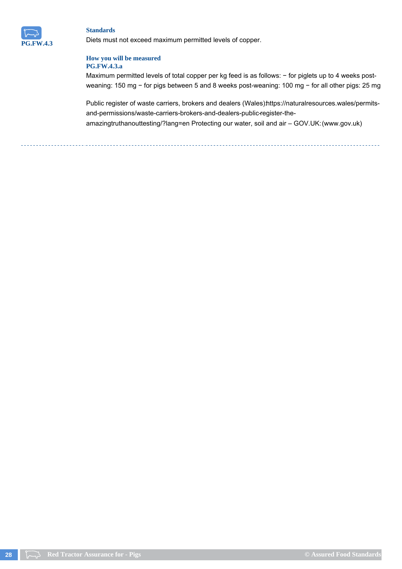

Diets must not exceed maximum permitted levels of copper.

## **How you will be measured PG.FW.4.3.a**

Maximum permitted levels of total copper per kg feed is as follows: - for piglets up to 4 weeks postweaning: 150 mg − for pigs between 5 and 8 weeks post-weaning: 100 mg − for all other pigs: 25 mg

Public register of waste carriers, brokers and dealers (Wales)https://naturalresources.wales/permitsand-permissions/waste-carriers-brokers-and-dealers-public-register-theamazingtruthanouttesting/?lang=en Protecting our water, soil and air – GOV.UK: (www.gov.uk)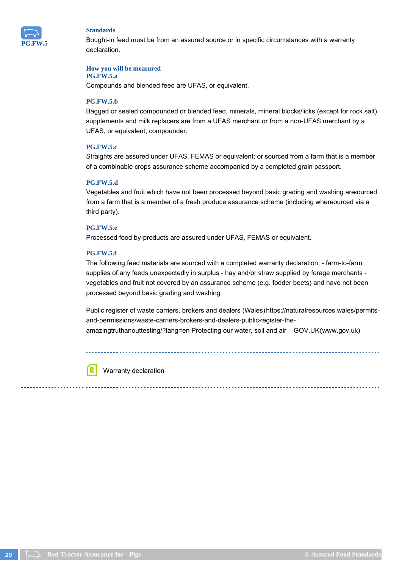

Bought-in feed must be from an assured source or in specific circumstances with a warranty declaration.

#### **How you will be measured**

## **PG.FW.5.a**

Compounds and blended feed are UFAS, or equivalent.

## **PG.FW.5.b**

Bagged or sealed compounded or blended feed, minerals, mineral blocks/licks (except for rock salt), supplements and milk replacers are from a UFAS merchant or from a non-UFAS merchant by a UFAS, or equivalent, compounder.

## **PG.FW.5.c**

Straights are assured under UFAS, FEMAS or equivalent; or sourced from a farm that is a member of a combinable crops assurance scheme accompanied by a completed grain passport.

## **PG.FW.5.d**

Vegetables and fruit which have not been processed beyond basic grading and washing aresourced from a farm that is a member of a fresh produce assurance scheme (including whensourced via a third party).

## **PG.FW.5.e**

Processed food by-products are assured under UFAS, FEMAS or equivalent.

## **PG.FW.5.f**

The following feed materials are sourced with a completed warranty declaration: - farm-to-farm supplies of any feeds unexpectedly in surplus - hay and/or straw supplied by forage merchants vegetables and fruit not covered by an assurance scheme (e.g. fodder beets) and have not been processed beyond basic grading and washing

Public register of waste carriers, brokers and dealers (Wales) https://naturalresources.wales/permitsand-permissions/waste-carriers-brokers-and-dealers-public-register-theamazingtruthanouttesting/?lang=en Protecting our water, soil and air - GOV.UK(www.gov.uk)

ſR

Warranty declaration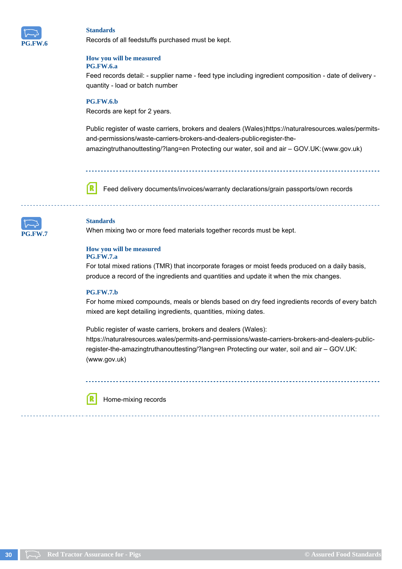

Records of all feedstuffs purchased must be kept.

#### **How you will be measured PG.FW.6.a**

Feed records detail: - supplier name - feed type including ingredient composition - date of delivery quantity - load or batch number

## **PG.FW.6.b**

Records are kept for 2 years.

Public register of waste carriers, brokers and dealers (Wales)https://naturalresources.wales/permitsand-permissions/waste-carriers-brokers-and-dealers-public-register-theamazingtruthanouttesting/?lang=en Protecting our water, soil and air – GOV.UK: (www.gov.uk)

Feed delivery documents/invoices/warranty declarations/grain passports/own records ſR



## **Standards**

When mixing two or more feed materials together records must be kept.

#### **How you will be measured PG.FW.7.a**

For total mixed rations (TMR) that incorporate forages or moist feeds produced on a daily basis, produce a record of the ingredients and quantities and update it when the mix changes.

#### **PG.FW.7.b**

For home mixed compounds, meals or blends based on dry feed ingredients records of every batch mixed are kept detailing ingredients, quantities, mixing dates.

Public register of waste carriers, brokers and dealers (Wales):

https://naturalresources.wales/permits-and-permissions/waste-carriers-brokers-and-dealers-publicregister-the-amazingtruthanouttesting/?lang=en Protecting our water, soil and air – GOV.UK: (www.gov.uk)



Home-mixing records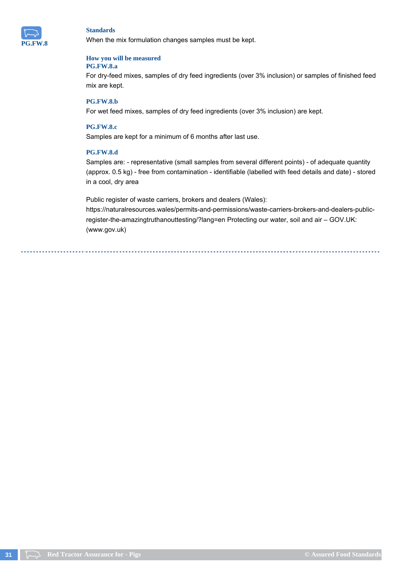

When the mix formulation changes samples must be kept.

#### **How you will be measured PG.FW.8.a**

For dry-feed mixes, samples of dry feed ingredients (over 3% inclusion) or samples of finished feed mix are kept.

## **PG.FW.8.b**

For wet feed mixes, samples of dry feed ingredients (over 3% inclusion) are kept.

## **PG.FW.8.c**

Samples are kept for a minimum of 6 months after last use.

## **PG.FW.8.d**

Samples are: - representative (small samples from several different points) - of adequate quantity (approx. 0.5 kg) - free from contamination - identifiable (labelled with feed details and date) - stored in a cool, dry area

Public register of waste carriers, brokers and dealers (Wales):

https://naturalresources.wales/permits-and-permissions/waste-carriers-brokers-and-dealers-publicregister-the-amazingtruthanouttesting/?lang=en Protecting our water, soil and air – GOV.UK: (www.gov.uk)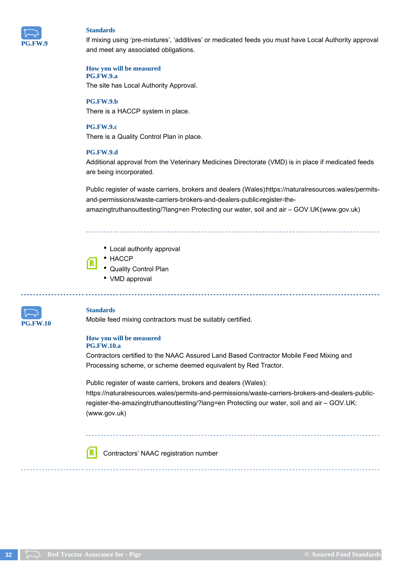

If mixing using 'pre-mixtures', 'additives' or medicated feeds you must have Local Authority approval and meet any associated obligations.

**How you will be measured PG.FW.9.a**

The site has Local Authority Approval.

**PG.FW.9.b** There is a HACCP system in place.

**PG.FW.9.c** There is a Quality Control Plan in place.

## **PG.FW.9.d**

Additional approval from the Veterinary Medicines Directorate (VMD) is in place if medicated feeds are being incorporated.

Public register of waste carriers, brokers and dealers (Wales) https://naturalresources.wales/permitsand-permissions/waste-carriers-brokers-and-dealers-public-register-theamazingtruthanouttesting/?lang=en Protecting our water, soil and air – GOV.UK:(www.gov.uk)

- Local authority approval
- HACCP
- Quality Control Plan
- VMD approval



#### **Standards**

ſR.

Mobile feed mixing contractors must be suitably certified.

## **How you will be measured PG.FW.10.a**

Contractors certified to the NAAC Assured Land Based Contractor Mobile Feed Mixing and Processing scheme, or scheme deemed equivalent by Red Tractor.

Public register of waste carriers, brokers and dealers (Wales): https://naturalresources.wales/permits-and-permissions/waste-carriers-brokers-and-dealers-publicregister-the-amazingtruthanouttesting/?lang=en Protecting our water, soil and air – GOV.UK: (www.gov.uk)

Contractors' NAAC registration number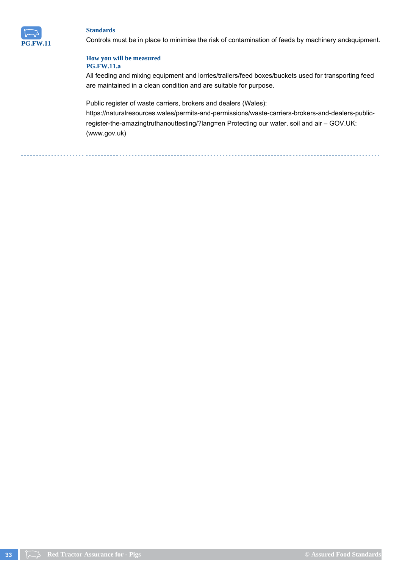

Controls must be in place to minimise the risk of contamination of feeds by machinery andequipment.

## **How you will be measured PG.FW.11.a**

All feeding and mixing equipment and lorries/trailers/feed boxes/buckets used for transporting feed are maintained in a clean condition and are suitable for purpose.

Public register of waste carriers, brokers and dealers (Wales):

https://naturalresources.wales/permits-and-permissions/waste-carriers-brokers-and-dealers-publicregister-the-amazingtruthanouttesting/?lang=en Protecting our water, soil and air – GOV.UK: (www.gov.uk)

**33 Red Tractor Assurance for - Pigs COM COMPANY COMPANY COMPANY COMPANY COMPANY COMPANY COMPANY COMPANY COMPANY COMPANY COMPANY COMPANY COMPANY COMPANY COMPANY COMPANY COMPANY COMPA**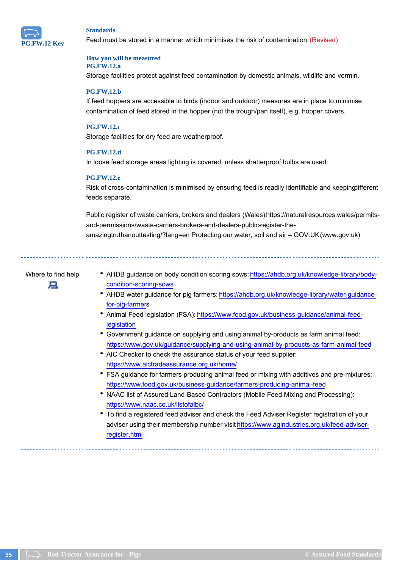

Feed must be stored in a manner which minimises the risk of contamination. (Revised)

#### **How you will be measured PG.FW.12.a**

Storage facilities protect against feed contamination by domestic animals, wildlife and vermin.

## **PG.FW.12.b**

If feed hoppers are accessible to birds (indoor and outdoor) measures are in place to minimise contamination of feed stored in the hopper (not the trough/pan itself), e.g. hopper covers.

#### **PG.FW.12.c**

Storage facilities for dry feed are weatherproof.

#### **PG.FW.12.d**

In loose feed storage areas lighting is covered, unless shatterproof bulbs are used.

#### **PG.FW.12.e**

Risk of cross-contamination is minimised by ensuring feed is readily identifiable and keepingdifferent feeds separate.

Public register of waste carriers, brokers and dealers (Wales) https://naturalresources.wales/permitsand-permissions/waste-carriers-brokers-and-dealers-public-register-theamazingtruthanouttesting/?lang=en Protecting our water, soil and air – GOV.UK:(www.gov.uk)



- Where to find help AHDB guidance on body condition scoring sows: https://ahdb.org.uk/knowledge-library/bodycondition-scoring-sows
	- AHDB water guidance for pig farmers: https://ahdb.org.uk/knowledge-library/water-guidancefor-pig-farmers
	- Animal Feed legislation (FSA): https://www.food.gov.uk/business-guidance/animal-feedlegislation
	- Government guidance on supplying and using animal by-products as farm animal feed: https://www.gov.uk/guidance/supplying-and-using-animal-by-products-as-farm-animal-feed
	- AIC Checker to check the assurance status of your feed supplier: https://www.aictradeassurance.org.uk/home/
	- FSA guidance for farmers producing animal feed or mixing with additives and pre-mixtures: https://www.food.gov.uk/business-guidance/farmers-producing-animal-feed
	- NAAC list of Assured Land-Based Contractors (Mobile Feed Mixing and Processing): https://www.naac.co.uk/listofalbc/
	- To find a registered feed adviser and check the Feed Adviser Register registration of your adviser using their membership number visit https://www.agindustries.org.uk/feed-adviserregister.html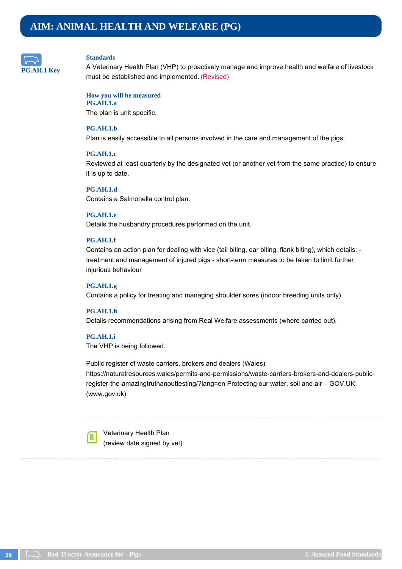<span id="page-35-0"></span>

A Veterinary Health Plan (VHP) to proactively manage and improve health and welfare of livestock must be established and implemented. (Revised)

#### **How you will be measured PG.AH.1.a**

The plan is unit specific.

## **PG.AH.1.b**

Plan is easily accessible to all persons involved in the care and management of the pigs.

## **PG.AH.1.c**

Reviewed at least quarterly by the designated vet (or another vet from the same practice) to ensure it is up to date.

**PG.AH.1.d** Contains a Salmonella control plan.

#### **PG.AH.1.e**

Details the husbandry procedures performed on the unit.

## **PG.AH.1.f**

Contains an action plan for dealing with vice (tail biting, ear biting, flank biting), which details: treatment and management of injured pigs - short-term measures to be taken to limit further injurious behaviour

## **PG.AH.1.g**

Contains a policy for treating and managing shoulder sores (indoor breeding units only).

## **PG.AH.1.h**

Details recommendations arising from Real Welfare assessments (where carried out).

## **PG.AH.1.i**

The VHP is being followed.

Public register of waste carriers, brokers and dealers (Wales): https://naturalresources.wales/permits-and-permissions/waste-carriers-brokers-and-dealers-publicregister-the-amazingtruthanouttesting/?lang=en Protecting our water, soil and air – GOV.UK: (www.gov.uk)



Veterinary Health Plan (review date signed by vet)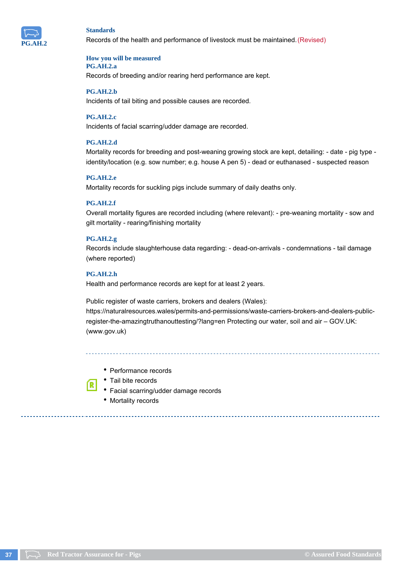

Records of the health and performance of livestock must be maintained. (Revised)

#### **How you will be measured PG.AH.2.a**

Records of breeding and/or rearing herd performance are kept.

#### **PG.AH.2.b**

Incidents of tail biting and possible causes are recorded.

#### **PG.AH.2.c**

Incidents of facial scarring/udder damage are recorded.

### **PG.AH.2.d**

Mortality records for breeding and post-weaning growing stock are kept, detailing: - date - pig type identity/location (e.g. sow number; e.g. house A pen 5) - dead or euthanased - suspected reason

#### **PG.AH.2.e**

Mortality records for suckling pigs include summary of daily deaths only.

### **PG.AH.2.f**

Overall mortality figures are recorded including (where relevant): - pre-weaning mortality - sow and gilt mortality - rearing/finishing mortality

### **PG.AH.2.g**

Records include slaughterhouse data regarding: - dead-on-arrivals - condemnations - tail damage (where reported)

#### **PG.AH.2.h**

[R]

Health and performance records are kept for at least 2 years.

Public register of waste carriers, brokers and dealers (Wales): https://naturalresources.wales/permits-and-permissions/waste-carriers-brokers-and-dealers-publicregister-the-amazingtruthanouttesting/?lang=en Protecting our water, soil and air – GOV.UK: (www.gov.uk)

• Performance records

- Tail bite records
- Facial scarring/udder damage records
- Mortality records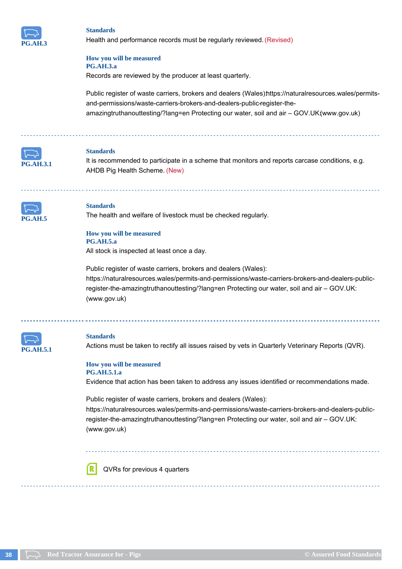

Health and performance records must be regularly reviewed. (Revised)

#### **How you will be measured PG.AH.3.a**

Records are reviewed by the producer at least quarterly.

Public register of waste carriers, brokers and dealers (Wales) https://naturalresources.wales/permitsand-permissions/waste-carriers-brokers-and-dealers-public-register-theamazingtruthanouttesting/?lang=en Protecting our water, soil and air – GOV.UK:(www.gov.uk)



### **Standards**

It is recommended to participate in a scheme that monitors and reports carcase conditions, e.g. AHDB Pig Health Scheme. (New)



#### **Standards**

The health and welfare of livestock must be checked regularly.

#### **How you will be measured PG.AH.5.a**

All stock is inspected at least once a day.

Public register of waste carriers, brokers and dealers (Wales): https://naturalresources.wales/permits-and-permissions/waste-carriers-brokers-and-dealers-publicregister-the-amazingtruthanouttesting/?lang=en Protecting our water, soil and air – GOV.UK: (www.gov.uk)



### **Standards**

Actions must be taken to rectify all issues raised by vets in Quarterly Veterinary Reports (QVR).

#### **How you will be measured PG.AH.5.1.a**

Evidence that action has been taken to address any issues identified or recommendations made.

Public register of waste carriers, brokers and dealers (Wales): https://naturalresources.wales/permits-and-permissions/waste-carriers-brokers-and-dealers-publicregister-the-amazingtruthanouttesting/?lang=en Protecting our water, soil and air – GOV.UK: (www.gov.uk)

QVRs for previous 4 quarters

ſR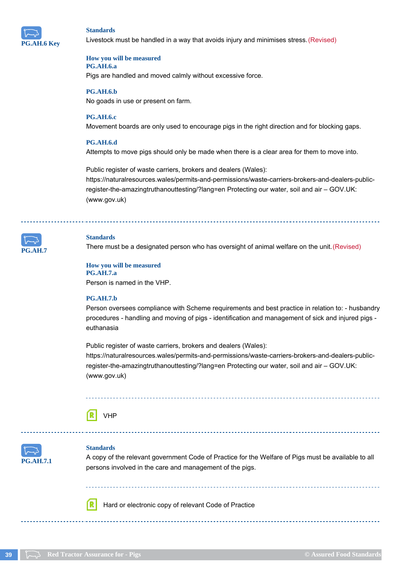

Livestock must be handled in a way that avoids injury and minimises stress. (Revised)

#### **How you will be measured PG.AH.6.a**

Pigs are handled and moved calmly without excessive force.

**PG.AH.6.b**

No goads in use or present on farm.

### **PG.AH.6.c**

Movement boards are only used to encourage pigs in the right direction and for blocking gaps.

### **PG.AH.6.d**

Attempts to move pigs should only be made when there is a clear area for them to move into.

Public register of waste carriers, brokers and dealers (Wales): https://naturalresources.wales/permits-and-permissions/waste-carriers-brokers-and-dealers-publicregister-the-amazingtruthanouttesting/?lang=en Protecting our water, soil and air – GOV.UK: (www.gov.uk)



#### **Standards**

There must be a designated person who has oversight of animal welfare on the unit. (Revised)

#### **How you will be measured PG.AH.7.a**

Person is named in the VHP.

#### **PG.AH.7.b**

Person oversees compliance with Scheme requirements and best practice in relation to: - husbandry procedures - handling and moving of pigs - identification and management of sick and injured pigs euthanasia

Public register of waste carriers, brokers and dealers (Wales): https://naturalresources.wales/permits-and-permissions/waste-carriers-brokers-and-dealers-publicregister-the-amazingtruthanouttesting/?lang=en Protecting our water, soil and air – GOV.UK: (www.gov.uk)

## VHP



### **Standards**

A copy of the relevant government Code of Practice for the Welfare of Pigs must be available to all persons involved in the care and management of the pigs.

Hard or electronic copy of relevant Code of Practice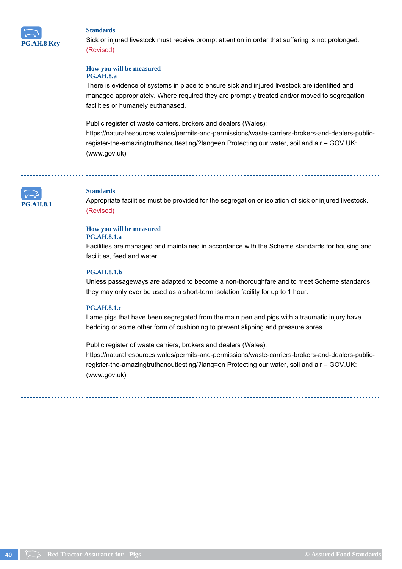

Sick or injured livestock must receive prompt attention in order that suffering is not prolonged. (Revised)

#### **How you will be measured PG.AH.8.a**

There is evidence of systems in place to ensure sick and injured livestock are identified and managed appropriately. Where required they are promptly treated and/or moved to segregation facilities or humanely euthanased.

Public register of waste carriers, brokers and dealers (Wales):

https://naturalresources.wales/permits-and-permissions/waste-carriers-brokers-and-dealers-publicregister-the-amazingtruthanouttesting/?lang=en Protecting our water, soil and air – GOV.UK: (www.gov.uk)

**PG.AH.8.1**

### **Standards**

Appropriate facilities must be provided for the segregation or isolation of sick or injured livestock. (Revised)

### **How you will be measured**

### **PG.AH.8.1.a**

Facilities are managed and maintained in accordance with the Scheme standards for housing and facilities, feed and water.

#### **PG.AH.8.1.b**

Unless passageways are adapted to become a non-thoroughfare and to meet Scheme standards, they may only ever be used as a short-term isolation facility for up to 1 hour.

### **PG.AH.8.1.c**

Lame pigs that have been segregated from the main pen and pigs with a traumatic injury have bedding or some other form of cushioning to prevent slipping and pressure sores.

Public register of waste carriers, brokers and dealers (Wales): https://naturalresources.wales/permits-and-permissions/waste-carriers-brokers-and-dealers-publicregister-the-amazingtruthanouttesting/?lang=en Protecting our water, soil and air – GOV.UK: (www.gov.uk)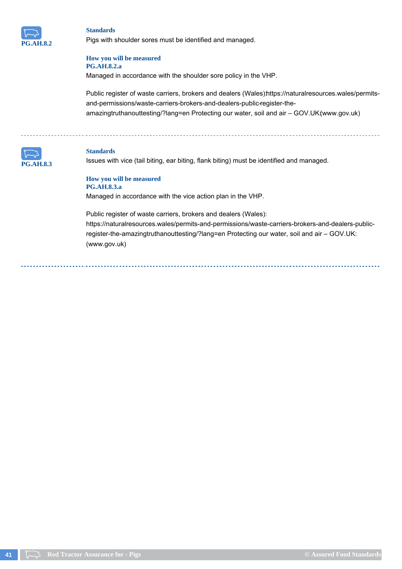

Pigs with shoulder sores must be identified and managed.

#### **How you will be measured PG.AH.8.2.a**

Managed in accordance with the shoulder sore policy in the VHP.

Public register of waste carriers, brokers and dealers (Wales)https://naturalresources.wales/permitsand-permissions/waste-carriers-brokers-and-dealers-public-register-theamazingtruthanouttesting/?lang=en Protecting our water, soil and air - GOV.UK(www.gov.uk)



#### **Standards**

Issues with vice (tail biting, ear biting, flank biting) must be identified and managed.

**How you will be measured PG.AH.8.3.a** Managed in accordance with the vice action plan in the VHP.

Public register of waste carriers, brokers and dealers (Wales):

https://naturalresources.wales/permits-and-permissions/waste-carriers-brokers-and-dealers-publicregister-the-amazingtruthanouttesting/?lang=en Protecting our water, soil and air – GOV.UK: (www.gov.uk)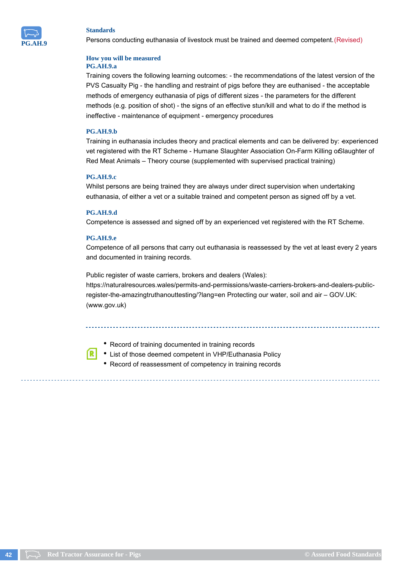

Persons conducting euthanasia of livestock must be trained and deemed competent. (Revised)

#### **How you will be measured PG.AH.9.a**

Training covers the following learning outcomes: - the recommendations of the latest version of the PVS Casualty Pig - the handling and restraint of pigs before they are euthanised - the acceptable methods of emergency euthanasia of pigs of different sizes - the parameters for the different methods (e.g. position of shot) - the signs of an effective stun/kill and what to do if the method is ineffective - maintenance of equipment - emergency procedures

### **PG.AH.9.b**

Training in euthanasia includes theory and practical elements and can be delivered by: experienced vet registered with the RT Scheme - Humane Slaughter Association On-Farm Killing orSlaughter of Red Meat Animals – Theory course (supplemented with supervised practical training)

### **PG.AH.9.c**

Whilst persons are being trained they are always under direct supervision when undertaking euthanasia, of either a vet or a suitable trained and competent person as signed off by a vet.

### **PG.AH.9.d**

Competence is assessed and signed off by an experienced vet registered with the RT Scheme.

### **PG.AH.9.e**

Competence of all persons that carry out euthanasia is reassessed by the vet at least every 2 years and documented in training records.

Public register of waste carriers, brokers and dealers (Wales): https://naturalresources.wales/permits-and-permissions/waste-carriers-brokers-and-dealers-publicregister-the-amazingtruthanouttesting/?lang=en Protecting our water, soil and air – GOV.UK: (www.gov.uk)

• Record of training documented in training records

- List of those deemed competent in VHP/Euthanasia Policy
- Record of reassessment of competency in training records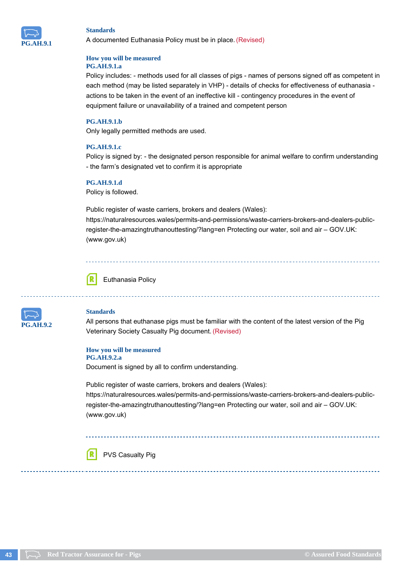

A documented Euthanasia Policy must be in place. (Revised)

#### **How you will be measured PG.AH.9.1.a**

Policy includes: - methods used for all classes of pigs - names of persons signed off as competent in each method (may be listed separately in VHP) - details of checks for effectiveness of euthanasia actions to be taken in the event of an ineffective kill - contingency procedures in the event of equipment failure or unavailability of a trained and competent person

### **PG.AH.9.1.b**

Only legally permitted methods are used.

#### **PG.AH.9.1.c**

Policy is signed by: - the designated person responsible for animal welfare to confirm understanding - the farm's designated vet to confirm it is appropriate

### **PG.AH.9.1.d**

Policy is followed.

Public register of waste carriers, brokers and dealers (Wales):

https://naturalresources.wales/permits-and-permissions/waste-carriers-brokers-and-dealers-publicregister-the-amazingtruthanouttesting/?lang=en Protecting our water, soil and air – GOV.UK: (www.gov.uk)



Euthanasia Policy



### **Standards**

All persons that euthanase pigs must be familiar with the content of the latest version of the Pig Veterinary Society Casualty Pig document. (Revised)

### **How you will be measured PG.AH.9.2.a**

Document is signed by all to confirm understanding.

Public register of waste carriers, brokers and dealers (Wales): https://naturalresources.wales/permits-and-permissions/waste-carriers-brokers-and-dealers-publicregister-the-amazingtruthanouttesting/?lang=en Protecting our water, soil and air – GOV.UK: (www.gov.uk)

#### ſR PVS Casualty Pig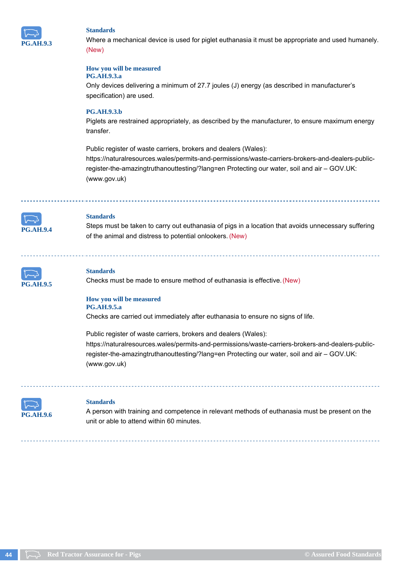

Where a mechanical device is used for piglet euthanasia it must be appropriate and used humanely. (New)

#### **How you will be measured**

### **PG.AH.9.3.a**

Only devices delivering a minimum of 27.7 joules (J) energy (as described in manufacturer's specification) are used.

### **PG.AH.9.3.b**

Piglets are restrained appropriately, as described by the manufacturer, to ensure maximum energy transfer.

Public register of waste carriers, brokers and dealers (Wales):

https://naturalresources.wales/permits-and-permissions/waste-carriers-brokers-and-dealers-publicregister-the-amazingtruthanouttesting/?lang=en Protecting our water, soil and air – GOV.UK: (www.gov.uk)



Steps must be taken to carry out euthanasia of pigs in a location that avoids unnecessary suffering of the animal and distress to potential onlookers. (New)



#### **Standards**

Checks must be made to ensure method of euthanasia is effective. (New)

#### **How you will be measured PG.AH.9.5.a**

Checks are carried out immediately after euthanasia to ensure no signs of life.

Public register of waste carriers, brokers and dealers (Wales): https://naturalresources.wales/permits-and-permissions/waste-carriers-brokers-and-dealers-publicregister-the-amazingtruthanouttesting/?lang=en Protecting our water, soil and air – GOV.UK: (www.gov.uk)



#### **Standards**

A person with training and competence in relevant methods of euthanasia must be present on the unit or able to attend within 60 minutes.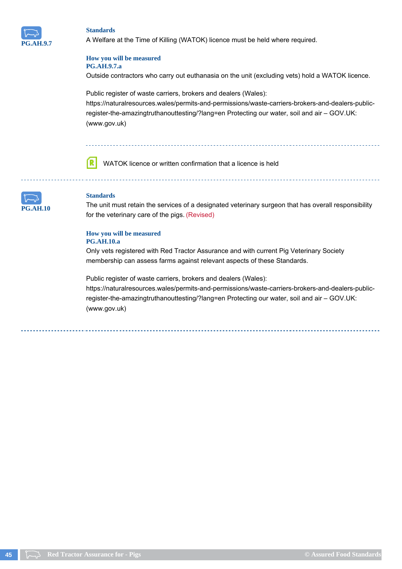

A Welfare at the Time of Killing (WATOK) licence must be held where required.

#### **How you will be measured PG.AH.9.7.a**

Outside contractors who carry out euthanasia on the unit (excluding vets) hold a WATOK licence.

Public register of waste carriers, brokers and dealers (Wales): https://naturalresources.wales/permits-and-permissions/waste-carriers-brokers-and-dealers-publicregister-the-amazingtruthanouttesting/?lang=en Protecting our water, soil and air – GOV.UK: (www.gov.uk)

ſR WATOK licence or written confirmation that a licence is held



### **Standards**

The unit must retain the services of a designated veterinary surgeon that has overall responsibility for the veterinary care of the pigs. (Revised)

## **How you will be measured**

### **PG.AH.10.a**

Only vets registered with Red Tractor Assurance and with current Pig Veterinary Society membership can assess farms against relevant aspects of these Standards.

Public register of waste carriers, brokers and dealers (Wales):

https://naturalresources.wales/permits-and-permissions/waste-carriers-brokers-and-dealers-publicregister-the-amazingtruthanouttesting/?lang=en Protecting our water, soil and air – GOV.UK: (www.gov.uk)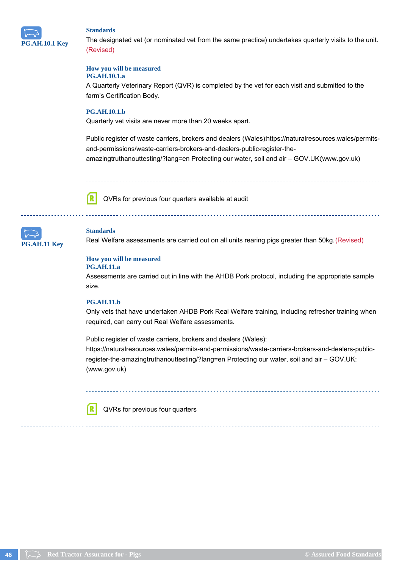

The designated vet (or nominated vet from the same practice) undertakes quarterly visits to the unit. (Revised)

### **How you will be measured**

### **PG.AH.10.1.a**

A Quarterly Veterinary Report (QVR) is completed by the vet for each visit and submitted to the farm's Certification Body.

### **PG.AH.10.1.b**

Quarterly vet visits are never more than 20 weeks apart.

Public register of waste carriers, brokers and dealers (Wales) https://naturalresources.wales/permitsand-permissions/waste-carriers-brokers-and-dealers-public-register-theamazingtruthanouttesting/?lang=en Protecting our water, soil and air – GOV.UK:(www.gov.uk)

ſR

QVRs for previous four quarters available at audit



#### **Standards**

Real Welfare assessments are carried out on all units rearing pigs greater than 50kg. (Revised)

#### **How you will be measured**

#### **PG.AH.11.a**

Assessments are carried out in line with the AHDB Pork protocol, including the appropriate sample size.

### **PG.AH.11.b**

ſR

Only vets that have undertaken AHDB Pork Real Welfare training, including refresher training when required, can carry out Real Welfare assessments.

Public register of waste carriers, brokers and dealers (Wales):

https://naturalresources.wales/permits-and-permissions/waste-carriers-brokers-and-dealers-publicregister-the-amazingtruthanouttesting/?lang=en Protecting our water, soil and air – GOV.UK: (www.gov.uk)

QVRs for previous four quarters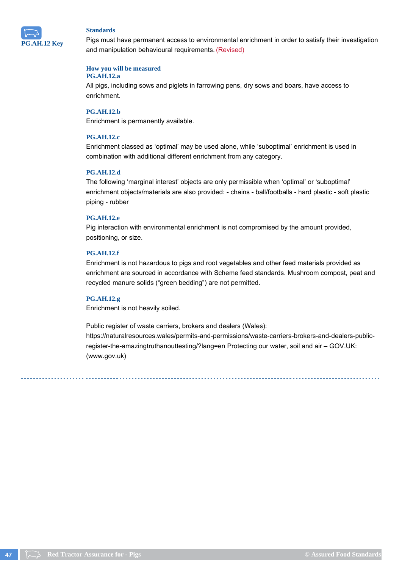

Pigs must have permanent access to environmental enrichment in order to satisfy their investigation and manipulation behavioural requirements. (Revised)

### **How you will be measured**

### **PG.AH.12.a**

All pigs, including sows and piglets in farrowing pens, dry sows and boars, have access to enrichment.

### **PG.AH.12.b**

Enrichment is permanently available.

### **PG.AH.12.c**

Enrichment classed as 'optimal' may be used alone, while 'suboptimal' enrichment is used in combination with additional different enrichment from any category.

#### **PG.AH.12.d**

The following 'marginal interest' objects are only permissible when 'optimal' or 'suboptimal' enrichment objects/materials are also provided: - chains - ball/footballs - hard plastic - soft plastic piping - rubber

### **PG.AH.12.e**

Pig interaction with environmental enrichment is not compromised by the amount provided, positioning, or size.

### **PG.AH.12.f**

Enrichment is not hazardous to pigs and root vegetables and other feed materials provided as enrichment are sourced in accordance with Scheme feed standards. Mushroom compost, peat and recycled manure solids ("green bedding") are not permitted.

### **PG.AH.12.g**

Enrichment is not heavily soiled.

Public register of waste carriers, brokers and dealers (Wales):

https://naturalresources.wales/permits-and-permissions/waste-carriers-brokers-and-dealers-publicregister-the-amazingtruthanouttesting/?lang=en Protecting our water, soil and air – GOV.UK: (www.gov.uk)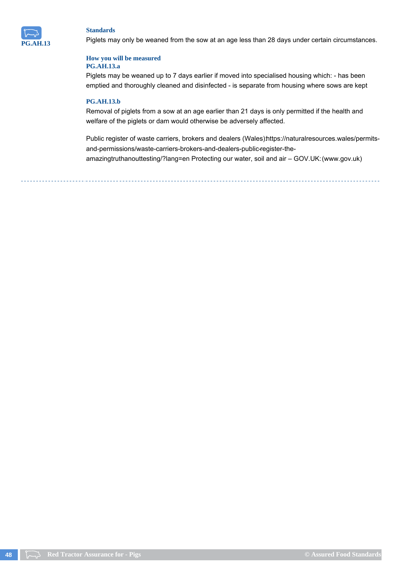

Piglets may only be weaned from the sow at an age less than 28 days under certain circumstances.

### **How you will be measured PG.AH.13.a**

Piglets may be weaned up to 7 days earlier if moved into specialised housing which: - has been emptied and thoroughly cleaned and disinfected - is separate from housing where sows are kept

### **PG.AH.13.b**

Removal of piglets from a sow at an age earlier than 21 days is only permitted if the health and welfare of the piglets or dam would otherwise be adversely affected.

Public register of waste carriers, brokers and dealers (Wales) https://naturalresources.wales/permitsand-permissions/waste-carriers-brokers-and-dealers-public-register-theamazingtruthanouttesting/?lang=en Protecting our water, soil and air – GOV.UK: (www.gov.uk)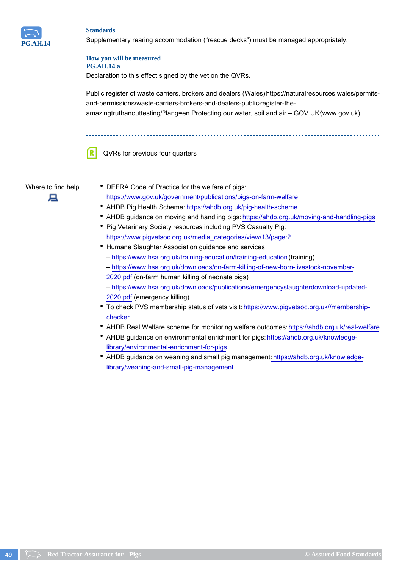

Supplementary rearing accommodation ("rescue decks") must be managed appropriately.

#### **How you will be measured PG.AH.14.a**

Declaration to this effect signed by the vet on the QVRs.

Public register of waste carriers, brokers and dealers (Wales) https://naturalresources.wales/permitsand-permissions/waste-carriers-brokers-and-dealers-public-register-theamazingtruthanouttesting/?lang=en Protecting our water, soil and air – GOV.UK:(www.gov.uk)

QVRs for previous four quarters



- Where to find help DEFRA Code of Practice for the welfare of pigs: https://www.gov.uk/government/publications/pigs-on-farm-welfare
	- AHDB Pig Health Scheme: https://ahdb.org.uk/pig-health-scheme
	- AHDB guidance on moving and handling pigs: https://ahdb.org.uk/moving-and-handling-pigs
	- Pig Veterinary Society resources including PVS Casualty Pig: https://www.pigvetsoc.org.uk/media\_categories/view/13/page:2
	- Humane Slaughter Association guidance and services
		- https://www.hsa.org.uk/training-education/training-education (training)
		- https://www.hsa.org.uk/downloads/on-farm-killing-of-new-born-livestock-november-2020.pdf (on-farm human killing of neonate pigs)
	- https://www.hsa.org.uk/downloads/publications/emergencyslaughterdownload-updated-2020.pdf (emergency killing)
	- To check PVS membership status of vets visit: https://www.pigvetsoc.org.uk//membershipchecker
	- AHDB Real Welfare scheme for monitoring welfare outcomes: https://ahdb.org.uk/real-welfare
	- AHDB guidance on environmental enrichment for pigs: https://ahdb.org.uk/knowledgelibrary/environmental-enrichment-for-pigs
	- AHDB guidance on weaning and small pig management: https://ahdb.org.uk/knowledgelibrary/weaning-and-small-pig-management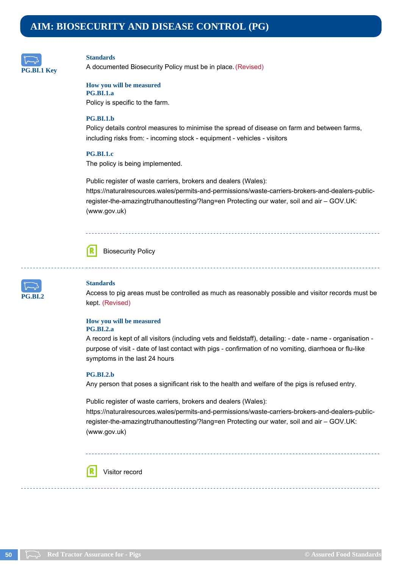## **AIM: BIOSECURITY AND DISEASE CONTROL (PG)**



#### **Standards**

A documented Biosecurity Policy must be in place. (Revised)

### **How you will be measured**

**PG.BI.1.a** Policy is specific to the farm.

#### **PG.BI.1.b**

Policy details control measures to minimise the spread of disease on farm and between farms, including risks from: - incoming stock - equipment - vehicles - visitors

### **PG.BI.1.c**

The policy is being implemented.

Public register of waste carriers, brokers and dealers (Wales): https://naturalresources.wales/permits-and-permissions/waste-carriers-brokers-and-dealers-publicregister-the-amazingtruthanouttesting/?lang=en Protecting our water, soil and air – GOV.UK: (www.gov.uk)



Biosecurity Policy



#### **Standards**

Access to pig areas must be controlled as much as reasonably possible and visitor records must be kept. (Revised)

#### **How you will be measured PG.BI.2.a**

A record is kept of all visitors (including vets and fieldstaff), detailing: - date - name - organisation purpose of visit - date of last contact with pigs - confirmation of no vomiting, diarrhoea or flu-like symptoms in the last 24 hours

#### **PG.BI.2.b**

ſR

Any person that poses a significant risk to the health and welfare of the pigs is refused entry.

Public register of waste carriers, brokers and dealers (Wales):

https://naturalresources.wales/permits-and-permissions/waste-carriers-brokers-and-dealers-publicregister-the-amazingtruthanouttesting/?lang=en Protecting our water, soil and air – GOV.UK: (www.gov.uk)

### Visitor record

**50 Red Tractor Assurance for - Pigs COM COMPOSED Assurance for a standard Standard Standard Standards COMPOSED Assurance for a standard Standard Standard Standards**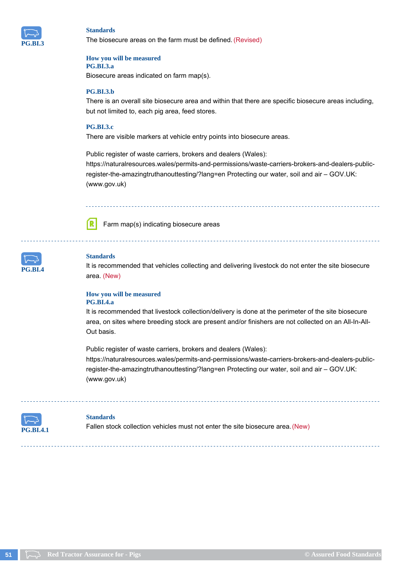

The biosecure areas on the farm must be defined. (Revised)

#### **How you will be measured PG.BI.3.a**

Biosecure areas indicated on farm map(s).

#### **PG.BI.3.b**

There is an overall site biosecure area and within that there are specific biosecure areas including, but not limited to, each pig area, feed stores.

#### **PG.BI.3.c**

There are visible markers at vehicle entry points into biosecure areas.

Public register of waste carriers, brokers and dealers (Wales): https://naturalresources.wales/permits-and-permissions/waste-carriers-brokers-and-dealers-publicregister-the-amazingtruthanouttesting/?lang=en Protecting our water, soil and air – GOV.UK: (www.gov.uk)



Farm map(s) indicating biosecure areas

| $3$ RL4<br>P |  |
|--------------|--|

### **Standards**

It is recommended that vehicles collecting and delivering livestock do not enter the site biosecure area. (New)

#### **How you will be measured PG.BI.4.a**

It is recommended that livestock collection/delivery is done at the perimeter of the site biosecure area, on sites where breeding stock are present and/or finishers are not collected on an All-In-All-Out basis.

Public register of waste carriers, brokers and dealers (Wales): https://naturalresources.wales/permits-and-permissions/waste-carriers-brokers-and-dealers-publicregister-the-amazingtruthanouttesting/?lang=en Protecting our water, soil and air – GOV.UK: (www.gov.uk)



#### **Standards**

Fallen stock collection vehicles must not enter the site biosecure area. (New)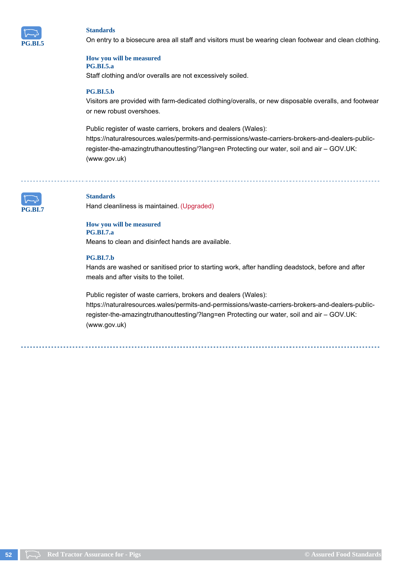

On entry to a biosecure area all staff and visitors must be wearing clean footwear and clean clothing.

#### **How you will be measured PG.BI.5.a**

Staff clothing and/or overalls are not excessively soiled.

### **PG.BI.5.b**

Visitors are provided with farm-dedicated clothing/overalls, or new disposable overalls, and footwear or new robust overshoes.

Public register of waste carriers, brokers and dealers (Wales): https://naturalresources.wales/permits-and-permissions/waste-carriers-brokers-and-dealers-publicregister-the-amazingtruthanouttesting/?lang=en Protecting our water, soil and air – GOV.UK: (www.gov.uk)



### **Standards**

Hand cleanliness is maintained. (Upgraded)

#### **How you will be measured PG.BI.7.a**

Means to clean and disinfect hands are available.

### **PG.BI.7.b**

Hands are washed or sanitised prior to starting work, after handling deadstock, before and after meals and after visits to the toilet.

Public register of waste carriers, brokers and dealers (Wales):

https://naturalresources.wales/permits-and-permissions/waste-carriers-brokers-and-dealers-publicregister-the-amazingtruthanouttesting/?lang=en Protecting our water, soil and air – GOV.UK: (www.gov.uk)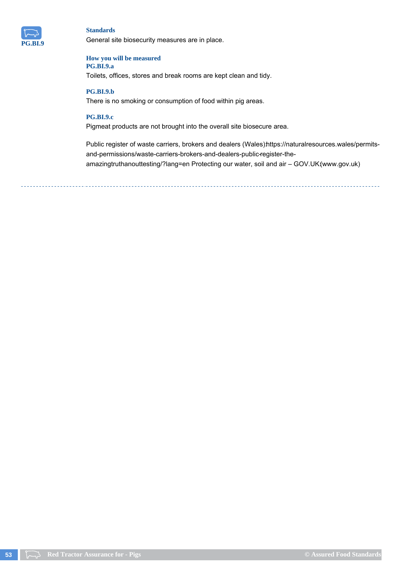

General site biosecurity measures are in place.

#### **How you will be measured PG.BI.9.a**

Toilets, offices, stores and break rooms are kept clean and tidy.

### **PG.BI.9.b**

There is no smoking or consumption of food within pig areas.

### **PG.BI.9.c**

Pigmeat products are not brought into the overall site biosecure area.

Public register of waste carriers, brokers and dealers (Wales)https://naturalresources.wales/permitsand-permissions/waste-carriers-brokers-and-dealers-public-register-theamazingtruthanouttesting/?lang=en Protecting our water, soil and air - GOV.UK(www.gov.uk)

**53 Red Tractor Assurance for - Pigs CASS CASSURED Assured Food Standards CASSURED Assured Food Standards**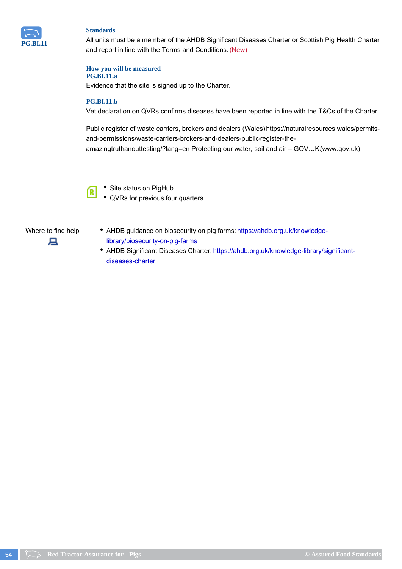

All units must be a member of the AHDB Significant Diseases Charter or Scottish Pig Health Charter and report in line with the Terms and Conditions. (New)

#### **How you will be measured**

### **PG.BI.11.a**

Evidence that the site is signed up to the Charter.

### **PG.BI.11.b**

Vet declaration on QVRs confirms diseases have been reported in line with the T&Cs of the Charter.

Public register of waste carriers, brokers and dealers (Wales)https://naturalresources.wales/permitsand-permissions/waste-carriers-brokers-and-dealers-public-register-theamazingtruthanouttesting/?lang=en Protecting our water, soil and air - GOV.UK(www.gov.uk)



• Site status on PigHub

QVRs for previous four quarters

д

- Where to find help AHDB guidance on biosecurity on pig farms: https://ahdb.org.uk/knowledgelibrary/biosecurity-on-pig-farms
	- AHDB Significant Diseases Charter: https://ahdb.org.uk/knowledge-library/significantdiseases-charter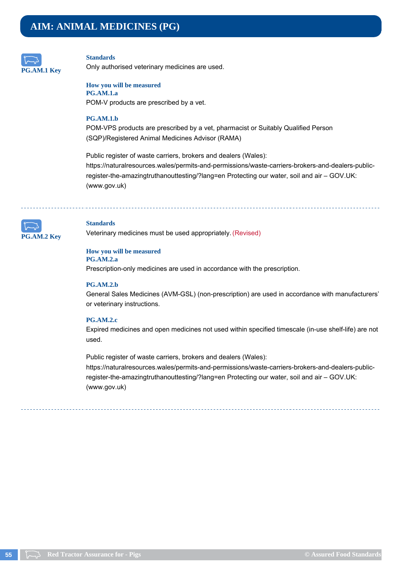## **AIM: ANIMAL MEDICINES (PG)**



#### **Standards**

Only authorised veterinary medicines are used.

#### **How you will be measured PG.AM.1.a**

POM-V products are prescribed by a vet.

#### **PG.AM.1.b**

POM-VPS products are prescribed by a vet, pharmacist or Suitably Qualified Person (SQP)/Registered Animal Medicines Advisor (RAMA)

Public register of waste carriers, brokers and dealers (Wales): https://naturalresources.wales/permits-and-permissions/waste-carriers-brokers-and-dealers-publicregister-the-amazingtruthanouttesting/?lang=en Protecting our water, soil and air – GOV.UK: (www.gov.uk)



#### **Standards**

Veterinary medicines must be used appropriately. (Revised)

### **How you will be measured**

**PG.AM.2.a**

Prescription-only medicines are used in accordance with the prescription.

#### **PG.AM.2.b**

General Sales Medicines (AVM-GSL) (non-prescription) are used in accordance with manufacturers' or veterinary instructions.

#### **PG.AM.2.c**

Expired medicines and open medicines not used within specified timescale (in-use shelf-life) are not used.

Public register of waste carriers, brokers and dealers (Wales): https://naturalresources.wales/permits-and-permissions/waste-carriers-brokers-and-dealers-publicregister-the-amazingtruthanouttesting/?lang=en Protecting our water, soil and air – GOV.UK: (www.gov.uk)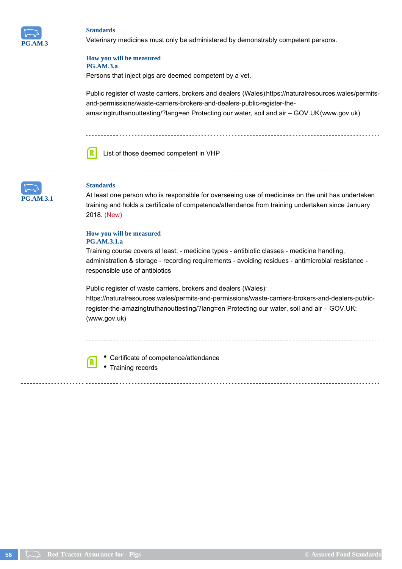

Veterinary medicines must only be administered by demonstrably competent persons.

#### **How you will be measured PG.AM.3.a**

Persons that inject pigs are deemed competent by a vet.

Public register of waste carriers, brokers and dealers (Wales) https://naturalresources.wales/permitsand-permissions/waste-carriers-brokers-and-dealers-public-register-theamazingtruthanouttesting/?lang=en Protecting our water, soil and air – GOV.UK:(www.gov.uk)



List of those deemed competent in VHP



### **Standards**

At least one person who is responsible for overseeing use of medicines on the unit has undertaken training and holds a certificate of competence/attendance from training undertaken since January 2018. (New)

#### **How you will be measured PG.AM.3.1.a**

Training course covers at least: - medicine types - antibiotic classes - medicine handling, administration & storage - recording requirements - avoiding residues - antimicrobial resistance responsible use of antibiotics

Public register of waste carriers, brokers and dealers (Wales):

https://naturalresources.wales/permits-and-permissions/waste-carriers-brokers-and-dealers-publicregister-the-amazingtruthanouttesting/?lang=en Protecting our water, soil and air – GOV.UK: (www.gov.uk)



Certificate of competence/attendance Training records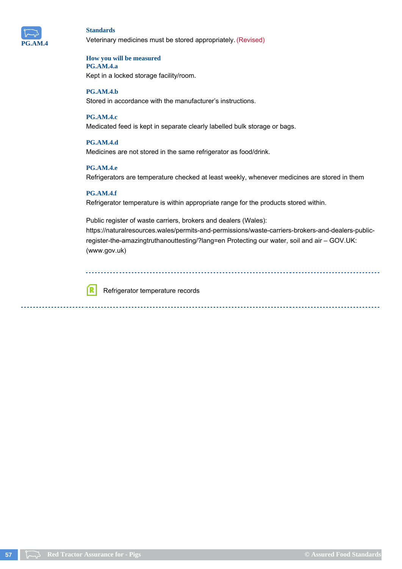

### **Standards** Veterinary medicines must be stored appropriately. (Revised)

#### **How you will be measured PG.AM.4.a**

Kept in a locked storage facility/room.

**PG.AM.4.b** Stored in accordance with the manufacturer's instructions.

### **PG.AM.4.c**

Medicated feed is kept in separate clearly labelled bulk storage or bags.

### **PG.AM.4.d**

Medicines are not stored in the same refrigerator as food/drink.

### **PG.AM.4.e**

Refrigerators are temperature checked at least weekly, whenever medicines are stored in them

### **PG.AM.4.f**

ſR.

Refrigerator temperature is within appropriate range for the products stored within.

Public register of waste carriers, brokers and dealers (Wales): https://naturalresources.wales/permits-and-permissions/waste-carriers-brokers-and-dealers-publicregister-the-amazingtruthanouttesting/?lang=en Protecting our water, soil and air – GOV.UK: (www.gov.uk)

Refrigerator temperature records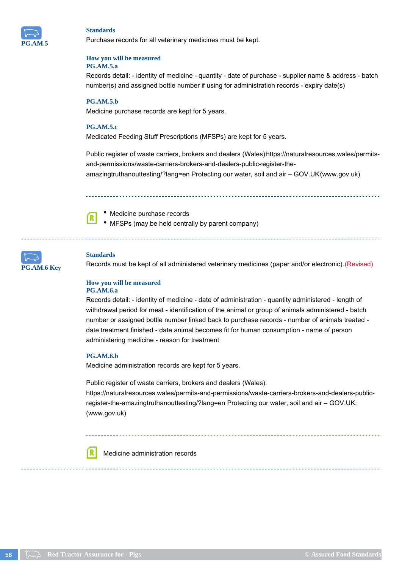

Purchase records for all veterinary medicines must be kept.

#### **How you will be measured PG.AM.5.a**

Records detail: - identity of medicine - quantity - date of purchase - supplier name & address - batch number(s) and assigned bottle number if using for administration records - expiry date(s)

### **PG.AM.5.b**

Medicine purchase records are kept for 5 years.

#### **PG.AM.5.c**

Medicated Feeding Stuff Prescriptions (MFSPs) are kept for 5 years.

Public register of waste carriers, brokers and dealers (Wales)https://naturalresources.wales/permitsand-permissions/waste-carriers-brokers-and-dealers-public-register-theamazingtruthanouttesting/?lang=en Protecting our water, soil and air – GOV.UK:(www.gov.uk)

ſR

Medicine purchase records MFSPs (may be held centrally by parent company)



#### **Standards**

Records must be kept of all administered veterinary medicines (paper and/or electronic). (Revised)

#### **How you will be measured PG.AM.6.a**

Records detail: - identity of medicine - date of administration - quantity administered - length of withdrawal period for meat - identification of the animal or group of animals administered - batch number or assigned bottle number linked back to purchase records - number of animals treated date treatment finished - date animal becomes fit for human consumption - name of person administering medicine - reason for treatment

#### **PG.AM.6.b**

ſR

Medicine administration records are kept for 5 years.

Public register of waste carriers, brokers and dealers (Wales): https://naturalresources.wales/permits-and-permissions/waste-carriers-brokers-and-dealers-publicregister-the-amazingtruthanouttesting/?lang=en Protecting our water, soil and air – GOV.UK: (www.gov.uk)

Medicine administration records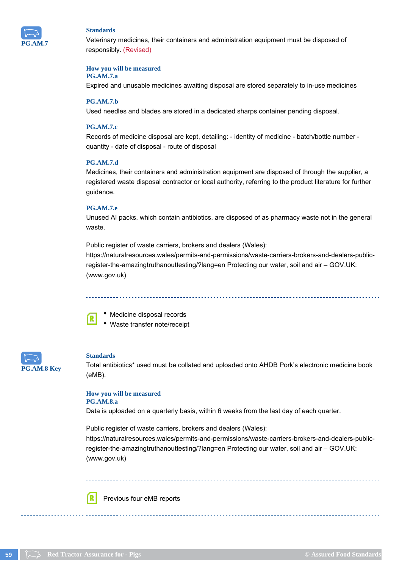

Veterinary medicines, their containers and administration equipment must be disposed of responsibly. (Revised)

#### **How you will be measured**

### **PG.AM.7.a**

Expired and unusable medicines awaiting disposal are stored separately to in-use medicines

#### **PG.AM.7.b**

Used needles and blades are stored in a dedicated sharps container pending disposal.

#### **PG.AM.7.c**

Records of medicine disposal are kept, detailing: - identity of medicine - batch/bottle number quantity - date of disposal - route of disposal

### **PG.AM.7.d**

Medicines, their containers and administration equipment are disposed of through the supplier, a registered waste disposal contractor or local authority, referring to the product literature for further guidance.

#### **PG.AM.7.e**

Unused AI packs, which contain antibiotics, are disposed of as pharmacy waste not in the general waste.

Public register of waste carriers, brokers and dealers (Wales):

https://naturalresources.wales/permits-and-permissions/waste-carriers-brokers-and-dealers-publicregister-the-amazingtruthanouttesting/?lang=en Protecting our water, soil and air – GOV.UK: (www.gov.uk)

Medicine disposal records

Waste transfer note/receipt

| <b>PG.AM.8 Key</b> |  |
|--------------------|--|

#### **Standards**

ſR

Total antibiotics\* used must be collated and uploaded onto AHDB Pork's electronic medicine book (eMB).

#### **How you will be measured PG.AM.8.a**

Data is uploaded on a quarterly basis, within 6 weeks from the last day of each quarter.

Public register of waste carriers, brokers and dealers (Wales): https://naturalresources.wales/permits-and-permissions/waste-carriers-brokers-and-dealers-publicregister-the-amazingtruthanouttesting/?lang=en Protecting our water, soil and air – GOV.UK: (www.gov.uk)

ſR Previous four eMB reports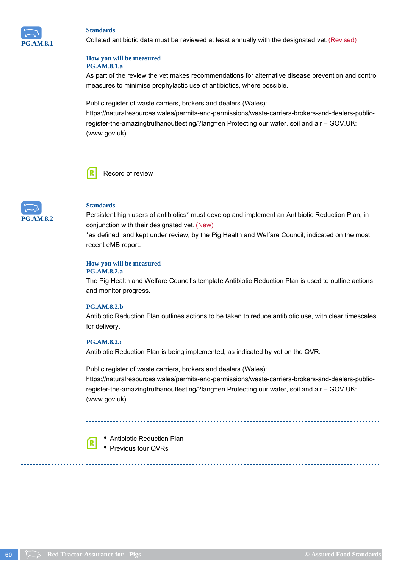

Collated antibiotic data must be reviewed at least annually with the designated vet. (Revised)

### **How you will be measured PG.AM.8.1.a**

As part of the review the vet makes recommendations for alternative disease prevention and control measures to minimise prophylactic use of antibiotics, where possible.

Public register of waste carriers, brokers and dealers (Wales):

https://naturalresources.wales/permits-and-permissions/waste-carriers-brokers-and-dealers-publicregister-the-amazingtruthanouttesting/?lang=en Protecting our water, soil and air – GOV.UK: (www.gov.uk)





### **Standards**

Persistent high users of antibiotics\* must develop and implement an Antibiotic Reduction Plan, in conjunction with their designated vet. (New)

\*as defined, and kept under review, by the Pig Health and Welfare Council; indicated on the most recent eMB report.

### **How you will be measured**

#### **PG.AM.8.2.a**

The Pig Health and Welfare Council's template Antibiotic Reduction Plan is used to outline actions and monitor progress.

#### **PG.AM.8.2.b**

Antibiotic Reduction Plan outlines actions to be taken to reduce antibiotic use, with clear timescales for delivery.

#### **PG.AM.8.2.c**

ſR.

Antibiotic Reduction Plan is being implemented, as indicated by vet on the QVR.

Public register of waste carriers, brokers and dealers (Wales): https://naturalresources.wales/permits-and-permissions/waste-carriers-brokers-and-dealers-publicregister-the-amazingtruthanouttesting/?lang=en Protecting our water, soil and air – GOV.UK: (www.gov.uk)

Antibiotic Reduction Plan • Previous four QVRs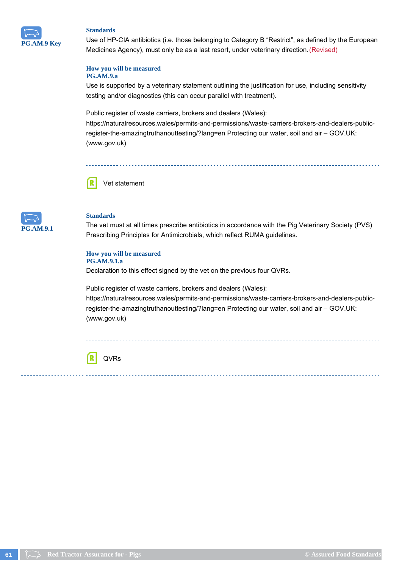

Use of HP-CIA antibiotics (i.e. those belonging to Category B "Restrict", as defined by the European Medicines Agency), must only be as a last resort, under veterinary direction. (Revised)

### **How you will be measured**

### **PG.AM.9.a**

Use is supported by a veterinary statement outlining the justification for use, including sensitivity testing and/or diagnostics (this can occur parallel with treatment).

Public register of waste carriers, brokers and dealers (Wales):

https://naturalresources.wales/permits-and-permissions/waste-carriers-brokers-and-dealers-publicregister-the-amazingtruthanouttesting/?lang=en Protecting our water, soil and air – GOV.UK: (www.gov.uk)





#### **Standards**

The vet must at all times prescribe antibiotics in accordance with the Pig Veterinary Society (PVS) Prescribing Principles for Antimicrobials, which reflect RUMA guidelines.

#### **How you will be measured PG.AM.9.1.a**

Declaration to this effect signed by the vet on the previous four QVRs.

Public register of waste carriers, brokers and dealers (Wales): https://naturalresources.wales/permits-and-permissions/waste-carriers-brokers-and-dealers-publicregister-the-amazingtruthanouttesting/?lang=en Protecting our water, soil and air – GOV.UK: (www.gov.uk)

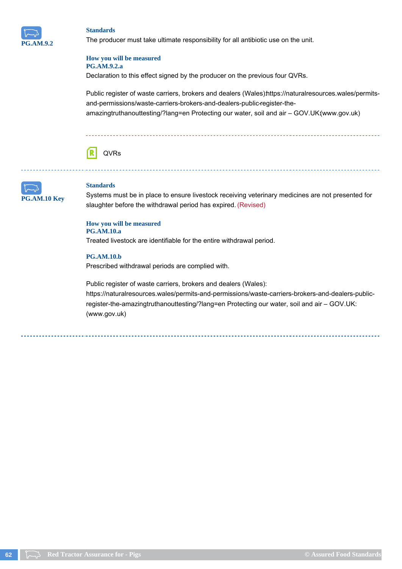

The producer must take ultimate responsibility for all antibiotic use on the unit.

#### **How you will be measured PG.AM.9.2.a**

Declaration to this effect signed by the producer on the previous four QVRs.

Public register of waste carriers, brokers and dealers (Wales)https://naturalresources.wales/permitsand-permissions/waste-carriers-brokers-and-dealers-public-register-theamazingtruthanouttesting/?lang=en Protecting our water, soil and air – GOV.UK:(www.gov.uk)





### **Standards**

Systems must be in place to ensure livestock receiving veterinary medicines are not presented for slaughter before the withdrawal period has expired. (Revised)

#### **How you will be measured PG.AM.10.a**

Treated livestock are identifiable for the entire withdrawal period.

### **PG.AM.10.b**

Prescribed withdrawal periods are complied with.

Public register of waste carriers, brokers and dealers (Wales): https://naturalresources.wales/permits-and-permissions/waste-carriers-brokers-and-dealers-publicregister-the-amazingtruthanouttesting/?lang=en Protecting our water, soil and air – GOV.UK: (www.gov.uk)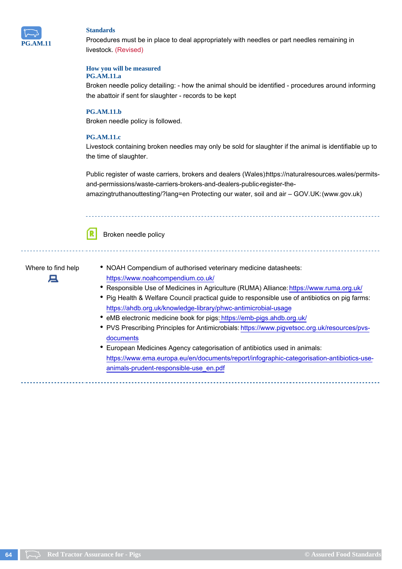

Procedures must be in place to deal appropriately with needles or part needles remaining in livestock. (Revised)

### **How you will be measured**

### **PG.AM.11.a**

Broken needle policy detailing: - how the animal should be identified - procedures around informing the abattoir if sent for slaughter - records to be kept

### **PG.AM.11.b**

Broken needle policy is followed.

### **PG.AM.11.c**

Livestock containing broken needles may only be sold for slaughter if the animal is identifiable up to the time of slaughter.

Public register of waste carriers, brokers and dealers (Wales) https://naturalresources.wales/permitsand-permissions/waste-carriers-brokers-and-dealers-public-register-the-

amazingtruthanouttesting/?lang=en Protecting our water, soil and air – GOV.UK: (www.gov.uk)





Where to find help • NOAH Compendium of authorised veterinary medicine datasheets: https://www.noahcompendium.co.uk/

- Responsible Use of Medicines in Agriculture (RUMA) Alliance: https://www.ruma.org.uk/
- Pig Health & Welfare Council practical guide to responsible use of antibiotics on pig farms: https://ahdb.org.uk/knowledge-library/phwc-antimicrobial-usage
- eMB electronic medicine book for pigs: https://emb-pigs.ahdb.org.uk/
- PVS Prescribing Principles for Antimicrobials: https://www.pigvetsoc.org.uk/resources/pvsdocuments
- European Medicines Agency categorisation of antibiotics used in animals: https://www.ema.europa.eu/en/documents/report/infographic-categorisation-antibiotics-useanimals-prudent-responsible-use\_en.pdf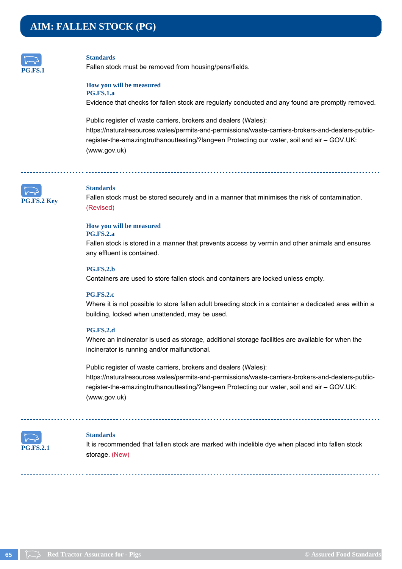## **AIM: FALLEN STOCK (PG)**



#### **Standards**

Fallen stock must be removed from housing/pens/fields.

### **How you will be measured**

**PG.FS.1.a**

Evidence that checks for fallen stock are regularly conducted and any found are promptly removed.

Public register of waste carriers, brokers and dealers (Wales): https://naturalresources.wales/permits-and-permissions/waste-carriers-brokers-and-dealers-publicregister-the-amazingtruthanouttesting/?lang=en Protecting our water, soil and air – GOV.UK: (www.gov.uk)



#### **Standards**

Fallen stock must be stored securely and in a manner that minimises the risk of contamination. (Revised)

## **How you will be measured**

**PG.FS.2.a**

Fallen stock is stored in a manner that prevents access by vermin and other animals and ensures any effluent is contained.

### **PG.FS.2.b**

Containers are used to store fallen stock and containers are locked unless empty.

### **PG.FS.2.c**

Where it is not possible to store fallen adult breeding stock in a container a dedicated area within a building, locked when unattended, may be used.

### **PG.FS.2.d**

Where an incinerator is used as storage, additional storage facilities are available for when the incinerator is running and/or malfunctional.

Public register of waste carriers, brokers and dealers (Wales): https://naturalresources.wales/permits-and-permissions/waste-carriers-brokers-and-dealers-publicregister-the-amazingtruthanouttesting/?lang=en Protecting our water, soil and air – GOV.UK: (www.gov.uk)



### **Standards**

It is recommended that fallen stock are marked with indelible dye when placed into fallen stock storage. (New)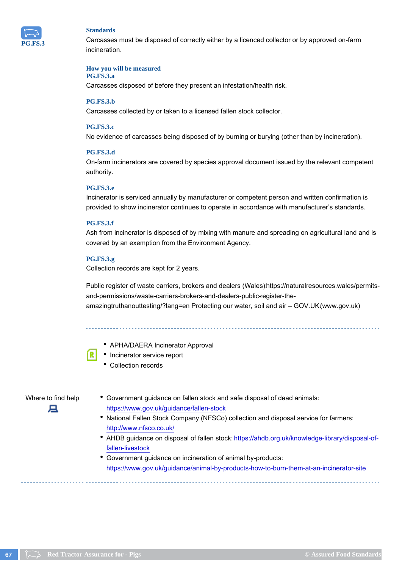

Carcasses must be disposed of correctly either by a licenced collector or by approved on-farm incineration.

#### **How you will be measured**

### **PG.FS.3.a**

Carcasses disposed of before they present an infestation/health risk.

#### **PG.FS.3.b**

Carcasses collected by or taken to a licensed fallen stock collector.

#### **PG.FS.3.c**

No evidence of carcasses being disposed of by burning or burying (other than by incineration).

### **PG.FS.3.d**

On-farm incinerators are covered by species approval document issued by the relevant competent authority.

### **PG.FS.3.e**

Incinerator is serviced annually by manufacturer or competent person and written confirmation is provided to show incinerator continues to operate in accordance with manufacturer's standards.

#### **PG.FS.3.f**

Ash from incinerator is disposed of by mixing with manure and spreading on agricultural land and is covered by an exemption from the Environment Agency.

#### **PG.FS.3.g**

Collection records are kept for 2 years.

Public register of waste carriers, brokers and dealers (Wales) https://naturalresources.wales/permitsand-permissions/waste-carriers-brokers-and-dealers-public-register-theamazingtruthanouttesting/?lang=en Protecting our water, soil and air - GOV.UK(www.gov.uk)



- APHA/DAERA Incinerator Approval
- Incinerator service report
	- Collection records

# д

Where to find help • Government guidance on fallen stock and safe disposal of dead animals: https://www.gov.uk/guidance/fallen-stock

- National Fallen Stock Company (NFSCo) collection and disposal service for farmers: http://www.nfsco.co.uk/
- AHDB guidance on disposal of fallen stock: https://ahdb.org.uk/knowledge-library/disposal-offallen-livestock
- Government guidance on incineration of animal by-products: https://www.gov.uk/guidance/animal-by-products-how-to-burn-them-at-an-incinerator-site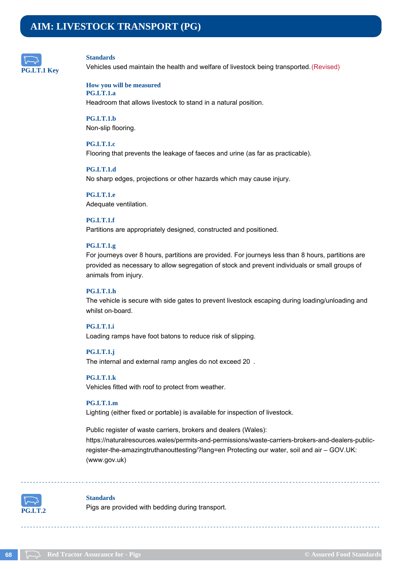## **AIM: LIVESTOCK TRANSPORT (PG)**



#### **Standards**

Vehicles used maintain the health and welfare of livestock being transported. (Revised)

### **How you will be measured**

**PG.LT.1.a**

Headroom that allows livestock to stand in a natural position.

**PG.LT.1.b** Non-slip flooring.

### **PG.LT.1.c**

Flooring that prevents the leakage of faeces and urine (as far as practicable).

### **PG.LT.1.d**

No sharp edges, projections or other hazards which may cause injury.

**PG.LT.1.e** Adequate ventilation.

### **PG.LT.1.f**

Partitions are appropriately designed, constructed and positioned.

#### **PG.LT.1.g**

For journeys over 8 hours, partitions are provided. For journeys less than 8 hours, partitions are provided as necessary to allow segregation of stock and prevent individuals or small groups of animals from injury.

#### **PG.LT.1.h**

The vehicle is secure with side gates to prevent livestock escaping during loading/unloading and whilst on-board.

### **PG.LT.1.i**

Loading ramps have foot batons to reduce risk of slipping.

#### **PG.LT.1.j**

The internal and external ramp angles do not exceed 20.

#### **PG.LT.1.k**

Vehicles fitted with roof to protect from weather.

### **PG.LT.1.m**

Lighting (either fixed or portable) is available for inspection of livestock.

Public register of waste carriers, brokers and dealers (Wales): https://naturalresources.wales/permits-and-permissions/waste-carriers-brokers-and-dealers-publicregister-the-amazingtruthanouttesting/?lang=en Protecting our water, soil and air – GOV.UK: (www.gov.uk)



#### **Standards**

Pigs are provided with bedding during transport.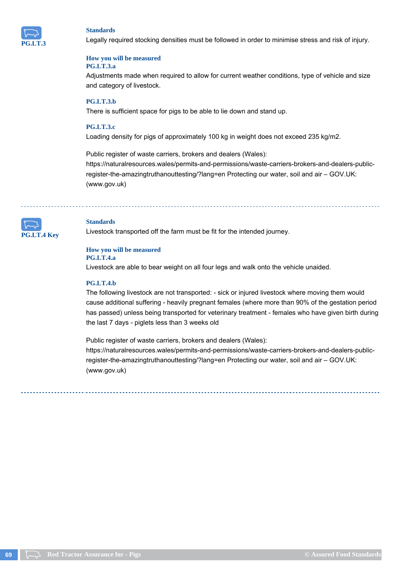

Legally required stocking densities must be followed in order to minimise stress and risk of injury.

#### **How you will be measured PG.LT.3.a**

Adjustments made when required to allow for current weather conditions, type of vehicle and size and category of livestock.

### **PG.LT.3.b**

There is sufficient space for pigs to be able to lie down and stand up.

#### **PG.LT.3.c**

Loading density for pigs of approximately 100 kg in weight does not exceed 235 kg/m2.

Public register of waste carriers, brokers and dealers (Wales):

https://naturalresources.wales/permits-and-permissions/waste-carriers-brokers-and-dealers-publicregister-the-amazingtruthanouttesting/?lang=en Protecting our water, soil and air – GOV.UK: (www.gov.uk)

**LT.4 Key** 

#### **Standards**

Livestock transported off the farm must be fit for the intended journey.

#### **How you will be measured PG.LT.4.a**

Livestock are able to bear weight on all four legs and walk onto the vehicle unaided.

#### **PG.LT.4.b**

The following livestock are not transported: - sick or injured livestock where moving them would cause additional suffering - heavily pregnant females (where more than 90% of the gestation period has passed) unless being transported for veterinary treatment - females who have given birth during the last 7 days - piglets less than 3 weeks old

Public register of waste carriers, brokers and dealers (Wales): https://naturalresources.wales/permits-and-permissions/waste-carriers-brokers-and-dealers-publicregister-the-amazingtruthanouttesting/?lang=en Protecting our water, soil and air – GOV.UK: (www.gov.uk)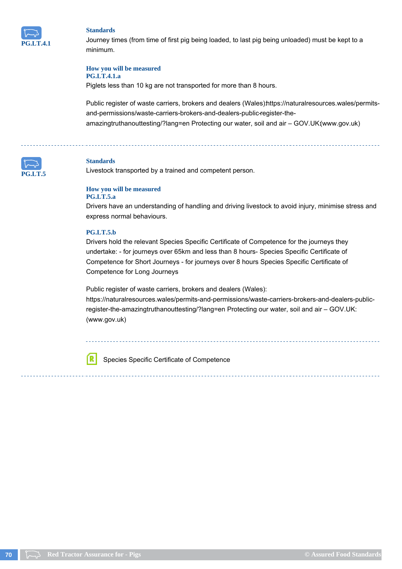

Journey times (from time of first pig being loaded, to last pig being unloaded) must be kept to a minimum.

### **How you will be measured**

### **PG.LT.4.1.a**

Piglets less than 10 kg are not transported for more than 8 hours.

Public register of waste carriers, brokers and dealers (Wales) https://naturalresources.wales/permitsand-permissions/waste-carriers-brokers-and-dealers-public-register-theamazingtruthanouttesting/?lang=en Protecting our water, soil and air - GOV.UK(www.gov.uk)



#### **Standards**

Livestock transported by a trained and competent person.

#### **How you will be measured PG.LT.5.a**

Drivers have an understanding of handling and driving livestock to avoid injury, minimise stress and express normal behaviours.

#### **PG.LT.5.b**

ſR

Drivers hold the relevant Species Specific Certificate of Competence for the journeys they undertake: - for journeys over 65km and less than 8 hours- Species Specific Certificate of Competence for Short Journeys - for journeys over 8 hours Species Specific Certificate of Competence for Long Journeys

Public register of waste carriers, brokers and dealers (Wales):

https://naturalresources.wales/permits-and-permissions/waste-carriers-brokers-and-dealers-publicregister-the-amazingtruthanouttesting/?lang=en Protecting our water, soil and air – GOV.UK: (www.gov.uk)

Species Specific Certificate of Competence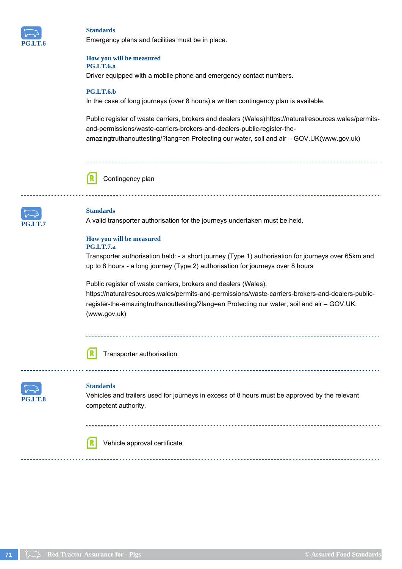

Emergency plans and facilities must be in place.

#### **How you will be measured PG.LT.6.a**

Driver equipped with a mobile phone and emergency contact numbers.

### **PG.LT.6.b**

In the case of long journeys (over 8 hours) a written contingency plan is available.

Public register of waste carriers, brokers and dealers (Wales) https://naturalresources.wales/permitsand-permissions/waste-carriers-brokers-and-dealers-public-register-theamazingtruthanouttesting/?lang=en Protecting our water, soil and air – GOV.UK:(www.gov.uk)



Contingency plan



### **Standards**

A valid transporter authorisation for the journeys undertaken must be held.

#### **How you will be measured PG.LT.7.a**

Transporter authorisation held: - a short journey (Type 1) authorisation for journeys over 65km and up to 8 hours - a long journey (Type 2) authorisation for journeys over 8 hours

Public register of waste carriers, brokers and dealers (Wales): https://naturalresources.wales/permits-and-permissions/waste-carriers-brokers-and-dealers-publicregister-the-amazingtruthanouttesting/?lang=en Protecting our water, soil and air – GOV.UK: (www.gov.uk)



Transporter authorisation



#### **Standards**

Vehicles and trailers used for journeys in excess of 8 hours must be approved by the relevant competent authority.

Vehicle approval certificate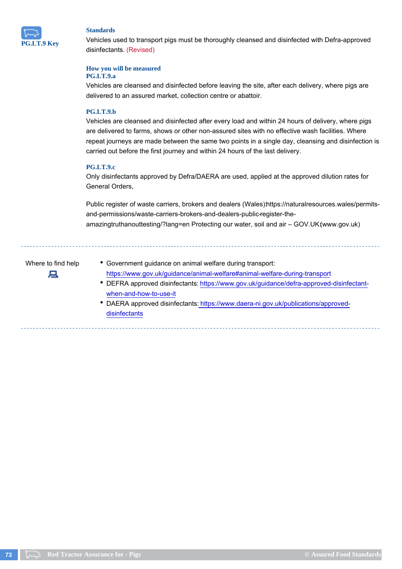

Vehicles used to transport pigs must be thoroughly cleansed and disinfected with Defra-approved disinfectants. (Revised)

#### **How you will be measured**

#### **PG.LT.9.a**

Vehicles are cleansed and disinfected before leaving the site, after each delivery, where pigs are delivered to an assured market, collection centre or abattoir.

#### **PG.LT.9.b**

Vehicles are cleansed and disinfected after every load and within 24 hours of delivery, where pigs are delivered to farms, shows or other non-assured sites with no effective wash facilities. Where repeat journeys are made between the same two points in a single day, cleansing and disinfection is carried out before the first journey and within 24 hours of the last delivery.

#### **PG.LT.9.c**

Only disinfectants approved by Defra/DAERA are used, applied at the approved dilution rates for General Orders,

Public register of waste carriers, brokers and dealers (Wales) https://naturalresources.wales/permitsand-permissions/waste-carriers-brokers-and-dealers-public-register-theamazingtruthanouttesting/?lang=en Protecting our water, soil and air – GOV.UK:(www.gov.uk)

д

- Where to find help Government guidance on animal welfare during transport: https://www.gov.uk/guidance/animal-welfare#animal-welfare-during-transport DEFRA approved disinfectants: https://www.gov.uk/guidance/defra-approved-disinfectant
	- when-and-how-to-use-it • DAERA approved disinfectants: https://www.daera-ni.gov.uk/publications/approveddisinfectants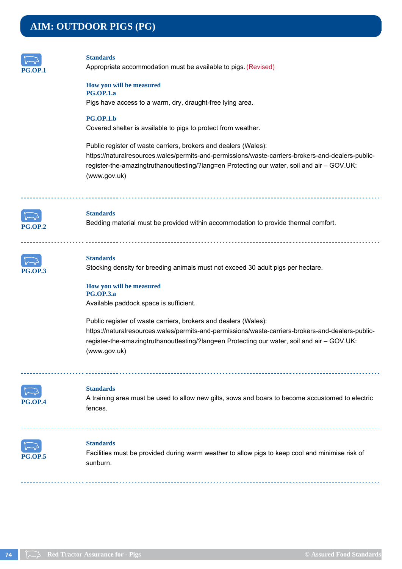# **AIM: OUTDOOR PIGS (PG)**



#### **Standards**

Appropriate accommodation must be available to pigs. (Revised)

#### **How you will be measured PG.OP.1.a**

Pigs have access to a warm, dry, draught-free lying area.

#### **PG.OP.1.b**

Covered shelter is available to pigs to protect from weather.

Public register of waste carriers, brokers and dealers (Wales): https://naturalresources.wales/permits-and-permissions/waste-carriers-brokers-and-dealers-publicregister-the-amazingtruthanouttesting/?lang=en Protecting our water, soil and air – GOV.UK: (www.gov.uk)



#### **Standards**

Bedding material must be provided within accommodation to provide thermal comfort.

| ľ<br>÷.<br>ı. |  |
|---------------|--|

#### **Standards**

Stocking density for breeding animals must not exceed 30 adult pigs per hectare.

#### **How you will be measured PG.OP.3.a**

Available paddock space is sufficient.

Public register of waste carriers, brokers and dealers (Wales): https://naturalresources.wales/permits-and-permissions/waste-carriers-brokers-and-dealers-publicregister-the-amazingtruthanouttesting/?lang=en Protecting our water, soil and air – GOV.UK: (www.gov.uk)



<u>. . . . . . . . . . . . . . .</u>

#### **Standards**

A training area must be used to allow new gilts, sows and boars to become accustomed to electric fences.



#### **Standards**

Facilities must be provided during warm weather to allow pigs to keep cool and minimise risk of sunburn.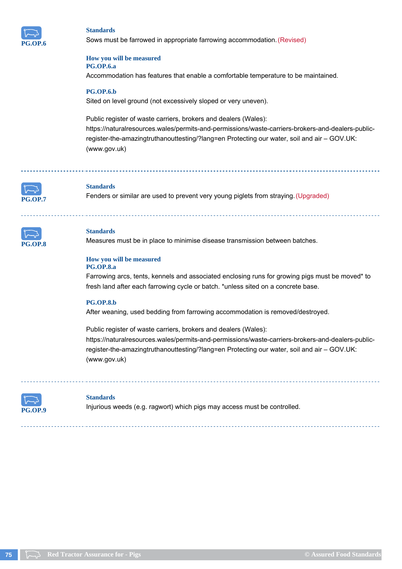

Sows must be farrowed in appropriate farrowing accommodation. (Revised)

#### **How you will be measured PG.OP.6.a**

Accommodation has features that enable a comfortable temperature to be maintained.

#### **PG.OP.6.b**

Sited on level ground (not excessively sloped or very uneven).

Public register of waste carriers, brokers and dealers (Wales): https://naturalresources.wales/permits-and-permissions/waste-carriers-brokers-and-dealers-publicregister-the-amazingtruthanouttesting/?lang=en Protecting our water, soil and air – GOV.UK: (www.gov.uk)



#### **Standards**

Fenders or similar are used to prevent very young piglets from straying. (Upgraded)



#### **Standards**

Measures must be in place to minimise disease transmission between batches.

#### **How you will be measured PG.OP.8.a**

Farrowing arcs, tents, kennels and associated enclosing runs for growing pigs must be moved\* to fresh land after each farrowing cycle or batch. \*unless sited on a concrete base.

#### **PG.OP.8.b**

After weaning, used bedding from farrowing accommodation is removed/destroyed.

Public register of waste carriers, brokers and dealers (Wales): https://naturalresources.wales/permits-and-permissions/waste-carriers-brokers-and-dealers-publicregister-the-amazingtruthanouttesting/?lang=en Protecting our water, soil and air – GOV.UK: (www.gov.uk)



#### **Standards**

Injurious weeds (e.g. ragwort) which pigs may access must be controlled.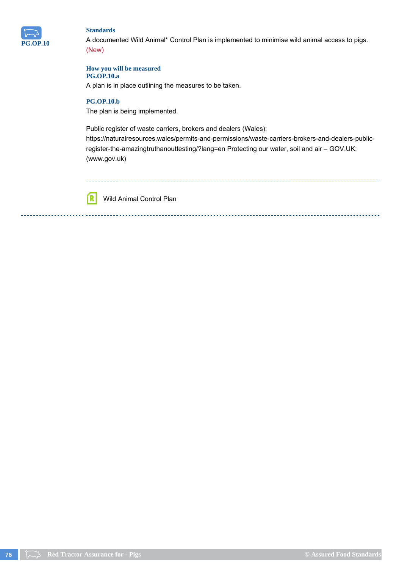

A documented Wild Animal\* Control Plan is implemented to minimise wild animal access to pigs. (New)

#### **How you will be measured**

**PG.OP.10.a**

A plan is in place outlining the measures to be taken.

#### **PG.OP.10.b**

The plan is being implemented.

Public register of waste carriers, brokers and dealers (Wales):

https://naturalresources.wales/permits-and-permissions/waste-carriers-brokers-and-dealers-publicregister-the-amazingtruthanouttesting/?lang=en Protecting our water, soil and air – GOV.UK: (www.gov.uk)



Wild Animal Control Plan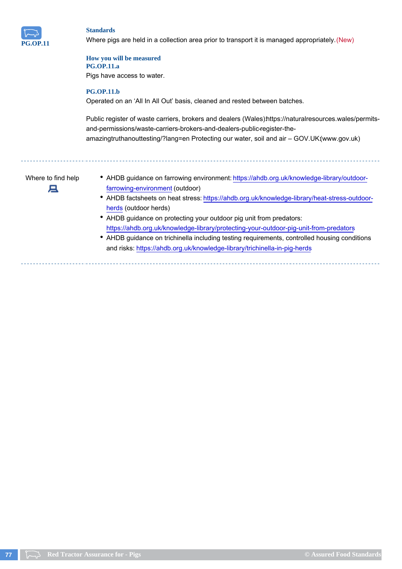

Where pigs are held in a collection area prior to transport it is managed appropriately. (New)

#### **How you will be measured PG.OP.11.a**

Pigs have access to water.

### **PG.OP.11.b**

Operated on an 'All In All Out' basis, cleaned and rested between batches.

Public register of waste carriers, brokers and dealers (Wales) https://naturalresources.wales/permitsand-permissions/waste-carriers-brokers-and-dealers-public-register-theamazingtruthanouttesting/?lang=en Protecting our water, soil and air – GOV.UK1www.gov.uk)



- Where to find help <br>
AHDB guidance on farrowing environment: https://ahdb.org.uk/knowledge-library/outdoorfarrowing-environment (outdoor)
	- AHDB factsheets on heat stress: https://ahdb.org.uk/knowledge-library/heat-stress-outdoorherds (outdoor herds)
	- AHDB guidance on protecting your outdoor pig unit from predators: https://ahdb.org.uk/knowledge-library/protecting-your-outdoor-pig-unit-from-predators
	- AHDB guidance on trichinella including testing requirements, controlled housing conditions and risks: https://ahdb.org.uk/knowledge-library/trichinella-in-pig-herds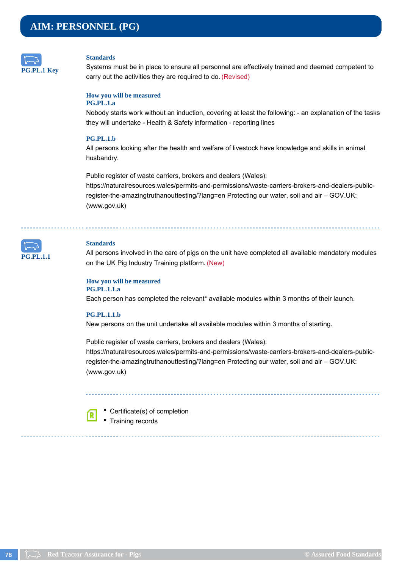# **AIM: PERSONNEL (PG)**



#### **Standards**

Systems must be in place to ensure all personnel are effectively trained and deemed competent to carry out the activities they are required to do. (Revised)

#### **How you will be measured PG.PL.1.a**

Nobody starts work without an induction, covering at least the following: - an explanation of the tasks they will undertake - Health & Safety information - reporting lines

#### **PG.PL.1.b**

All persons looking after the health and welfare of livestock have knowledge and skills in animal husbandry.

Public register of waste carriers, brokers and dealers (Wales): https://naturalresources.wales/permits-and-permissions/waste-carriers-brokers-and-dealers-publicregister-the-amazingtruthanouttesting/?lang=en Protecting our water, soil and air – GOV.UK: (www.gov.uk)



#### **Standards**

All persons involved in the care of pigs on the unit have completed all available mandatory modules on the UK Pig Industry Training platform. (New)

#### **How you will be measured PG.PL.1.1.a**

Each person has completed the relevant\* available modules within 3 months of their launch.

#### **PG.PL.1.1.b**

ſR

New persons on the unit undertake all available modules within 3 months of starting.

Public register of waste carriers, brokers and dealers (Wales): https://naturalresources.wales/permits-and-permissions/waste-carriers-brokers-and-dealers-publicregister-the-amazingtruthanouttesting/?lang=en Protecting our water, soil and air – GOV.UK: (www.gov.uk)

Certificate(s) of completion

• Training records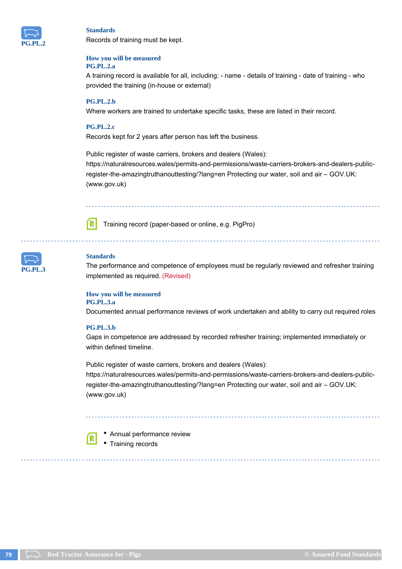

Records of training must be kept.

#### **How you will be measured PG.PL.2.a**

A training record is available for all, including: - name - details of training - date of training - who provided the training (in-house or external)

#### **PG.PL.2.b**

Where workers are trained to undertake specific tasks, these are listed in their record.

#### **PG.PL.2.c**

Records kept for 2 years after person has left the business.

Public register of waste carriers, brokers and dealers (Wales): https://naturalresources.wales/permits-and-permissions/waste-carriers-brokers-and-dealers-publicregister-the-amazingtruthanouttesting/?lang=en Protecting our water, soil and air – GOV.UK: (www.gov.uk)



Training record (paper-based or online, e.g. PigPro)



#### **Standards**

The performance and competence of employees must be regularly reviewed and refresher training implemented as required. (Revised)

#### **How you will be measured PG.PL.3.a**

Documented annual performance reviews of work undertaken and ability to carry out required roles

#### **PG.PL.3.b**

Gaps in competence are addressed by recorded refresher training; implemented immediately or within defined timeline.

Public register of waste carriers, brokers and dealers (Wales): https://naturalresources.wales/permits-and-permissions/waste-carriers-brokers-and-dealers-publicregister-the-amazingtruthanouttesting/?lang=en Protecting our water, soil and air – GOV.UK: (www.gov.uk)



Annual performance review

Training records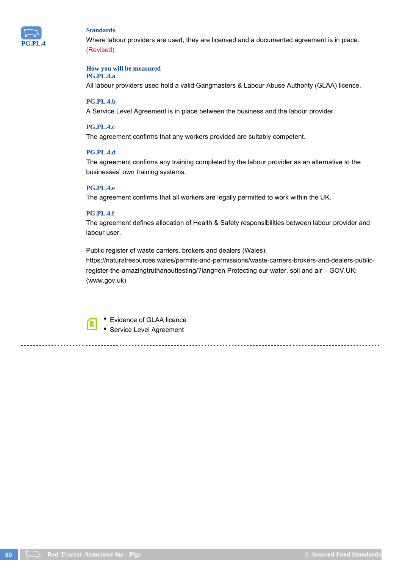

Where labour providers are used, they are licensed and a documented agreement is in place. (Revised)

#### **How you will be measured**

#### **PG.PL.4.a**

All labour providers used hold a valid Gangmasters & Labour Abuse Authority (GLAA) licence.

#### **PG.PL.4.b**

A Service Level Agreement is in place between the business and the labour provider.

#### **PG.PL.4.c**

The agreement confirms that any workers provided are suitably competent.

#### **PG.PL.4.d**

The agreement confirms any training completed by the labour provider as an alternative to the businesses' own training systems.

#### **PG.PL.4.e**

The agreement confirms that all workers are legally permitted to work within the UK.

#### **PG.PL.4.f**

The agreement defines allocation of Health & Safety responsibilities between labour provider and labour user.

Public register of waste carriers, brokers and dealers (Wales):

https://naturalresources.wales/permits-and-permissions/waste-carriers-brokers-and-dealers-publicregister-the-amazingtruthanouttesting/?lang=en Protecting our water, soil and air – GOV.UK: (www.gov.uk)

ſR

Evidence of GLAA licence Service Level Agreement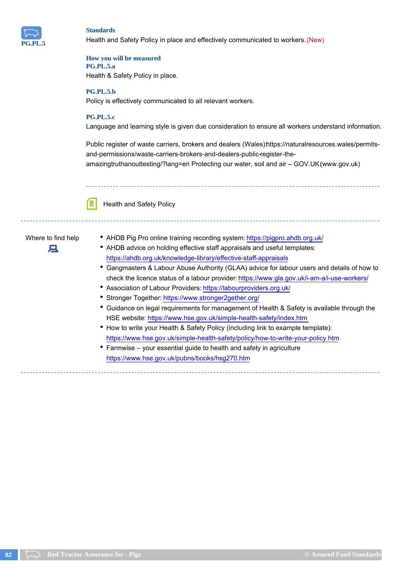

Health and Safety Policy in place and effectively communicated to workers. (New)

#### **How you will be measured PG.PL.5.a**

Health & Safety Policy in place.

#### **PG.PL.5.b**

Policy is effectively communicated to all relevant workers.

#### **PG.PL.5.c**

Language and learning style is given due consideration to ensure all workers understand information.

Public register of waste carriers, brokers and dealers (Wales) https://naturalresources.wales/permitsand-permissions/waste-carriers-brokers-and-dealers-public-register-the-

amazingtruthanouttesting/?lang=en Protecting our water, soil and air – GOV.UK:(www.gov.uk)

Health and Safety Policy

# 戸

- Where to find help <br> **AHDB** Pig Pro online training recording system: https://pigpro.ahdb.org.uk/
	- AHDB advice on holding effective staff appraisals and useful templates: https://ahdb.org.uk/knowledge-library/effective-staff-appraisals
	- Gangmasters & Labour Abuse Authority (GLAA) advice for labour users and details of how to check the licence status of a labour provider: https://www.gla.gov.uk/i-am-a/i-use-workers/
	- Association of Labour Providers: https://labourproviders.org.uk/
	- Stronger Together: https://www.stronger2gether.org/
	- Guidance on legal requirements for management of Health & Safety is available through the HSE website: https://www.hse.gov.uk/simple-health-safety/index.htm
	- How to write your Health & Safety Policy (including link to example template): https://www.hse.gov.uk/simple-health-safety/policy/how-to-write-your-policy.htm
	- Farmwise your essential guide to health and safety in agriculture https://www.hse.gov.uk/pubns/books/hsg270.htm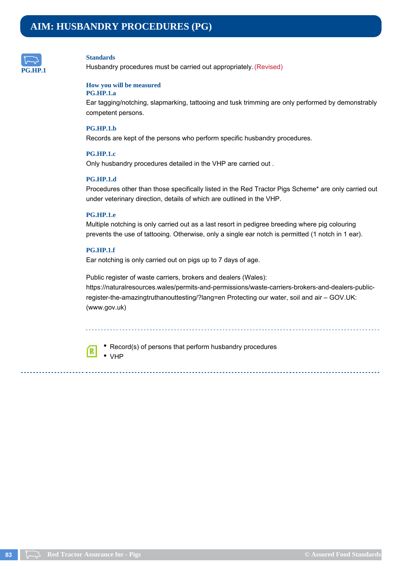

Husbandry procedures must be carried out appropriately. (Revised)

#### **How you will be measured**

#### **PG.HP.1.a**

Ear tagging/notching, slapmarking, tattooing and tusk trimming are only performed by demonstrably competent persons.

#### **PG.HP.1.b**

Records are kept of the persons who perform specific husbandry procedures.

#### **PG.HP.1.c**

Only husbandry procedures detailed in the VHP are carried out .

#### **PG.HP.1.d**

Procedures other than those specifically listed in the Red Tractor Pigs Scheme\* are only carried out under veterinary direction, details of which are outlined in the VHP.

#### **PG.HP.1.e**

Multiple notching is only carried out as a last resort in pedigree breeding where pig colouring prevents the use of tattooing. Otherwise, only a single ear notch is permitted (1 notch in 1 ear).

#### **PG.HP.1.f**

Ear notching is only carried out on pigs up to 7 days of age.

Public register of waste carriers, brokers and dealers (Wales): https://naturalresources.wales/permits-and-permissions/waste-carriers-brokers-and-dealers-publicregister-the-amazingtruthanouttesting/?lang=en Protecting our water, soil and air – GOV.UK: (www.gov.uk)



• Record(s) of persons that perform husbandry procedures • VHP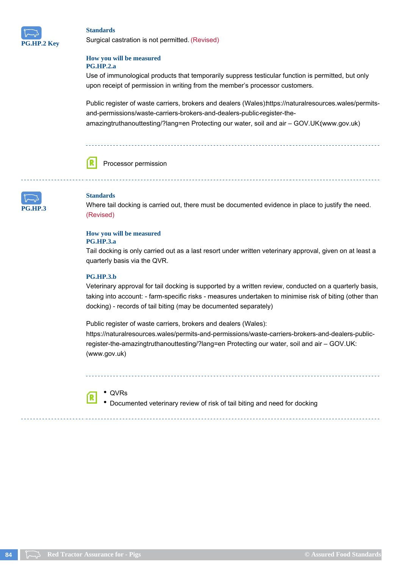

Surgical castration is not permitted. (Revised)

#### **How you will be measured PG.HP.2.a**

Use of immunological products that temporarily suppress testicular function is permitted, but only upon receipt of permission in writing from the member's processor customers.

Public register of waste carriers, brokers and dealers (Wales) https://naturalresources.wales/permitsand-permissions/waste-carriers-brokers-and-dealers-public-register-theamazingtruthanouttesting/?lang=en Protecting our water, soil and air - GOV.UK(www.gov.uk)



Processor permission



#### **Standards**

Where tail docking is carried out, there must be documented evidence in place to justify the need. (Revised)

#### **How you will be measured**

#### **PG.HP.3.a**

Tail docking is only carried out as a last resort under written veterinary approval, given on at least a quarterly basis via the QVR.

#### **PG.HP.3.b**

Veterinary approval for tail docking is supported by a written review, conducted on a quarterly basis, taking into account: - farm-specific risks - measures undertaken to minimise risk of biting (other than docking) - records of tail biting (may be documented separately)

Public register of waste carriers, brokers and dealers (Wales): https://naturalresources.wales/permits-and-permissions/waste-carriers-brokers-and-dealers-publicregister-the-amazingtruthanouttesting/?lang=en Protecting our water, soil and air – GOV.UK: (www.gov.uk)



QVRs

Documented veterinary review of risk of tail biting and need for docking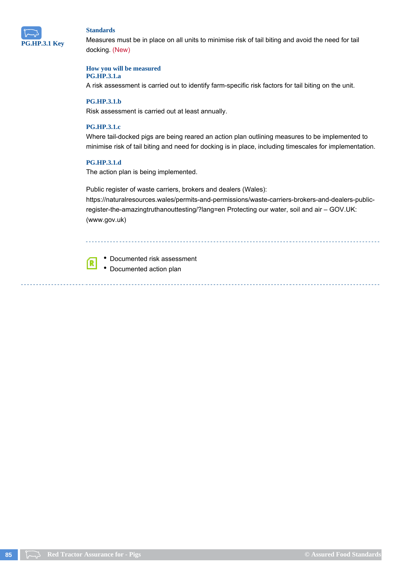

Measures must be in place on all units to minimise risk of tail biting and avoid the need for tail docking. (New)

#### **How you will be measured**

#### **PG.HP.3.1.a**

A risk assessment is carried out to identify farm-specific risk factors for tail biting on the unit.

#### **PG.HP.3.1.b**

Risk assessment is carried out at least annually.

#### **PG.HP.3.1.c**

Where tail-docked pigs are being reared an action plan outlining measures to be implemented to minimise risk of tail biting and need for docking is in place, including timescales for implementation.

#### **PG.HP.3.1.d**

ſR

The action plan is being implemented.

Public register of waste carriers, brokers and dealers (Wales): https://naturalresources.wales/permits-and-permissions/waste-carriers-brokers-and-dealers-publicregister-the-amazingtruthanouttesting/?lang=en Protecting our water, soil and air – GOV.UK: (www.gov.uk)

Documented risk assessment • Documented action plan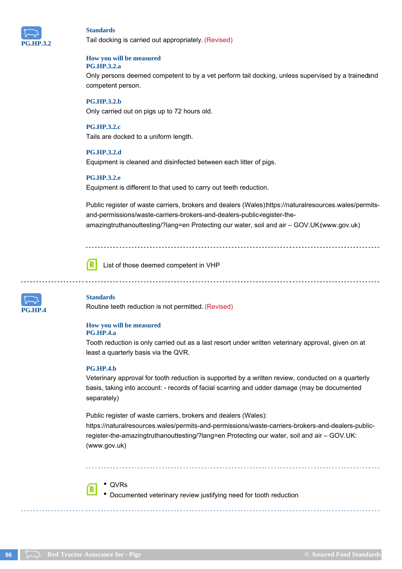

Tail docking is carried out appropriately. (Revised)

#### **How you will be measured PG.HP.3.2.a**

Only persons deemed competent to by a vet perform tail docking, unless supervised by a trainedand competent person.

#### **PG.HP.3.2.b** Only carried out on pigs up to 72 hours old.

**PG.HP.3.2.c** Tails are docked to a uniform length.

#### **PG.HP.3.2.d**

Equipment is cleaned and disinfected between each litter of pigs.

#### **PG.HP.3.2.e**

Equipment is different to that used to carry out teeth reduction.

Public register of waste carriers, brokers and dealers (Wales)https://naturalresources.wales/permitsand-permissions/waste-carriers-brokers-and-dealers-public-register-theamazingtruthanouttesting/?lang=en Protecting our water, soil and air – GOV.UK:(www.gov.uk)

List of those deemed competent in VHP



#### **Standards**

ſR

Routine teeth reduction is not permitted. (Revised)

#### **How you will be measured**

#### **PG.HP.4.a**

Tooth reduction is only carried out as a last resort under written veterinary approval, given on at least a quarterly basis via the QVR.

#### **PG.HP.4.b**

Veterinary approval for tooth reduction is supported by a written review, conducted on a quarterly basis, taking into account: - records of facial scarring and udder damage (may be documented separately)

Public register of waste carriers, brokers and dealers (Wales): https://naturalresources.wales/permits-and-permissions/waste-carriers-brokers-and-dealers-publicregister-the-amazingtruthanouttesting/?lang=en Protecting our water, soil and air – GOV.UK: (www.gov.uk)



Documented veterinary review justifying need for tooth reduction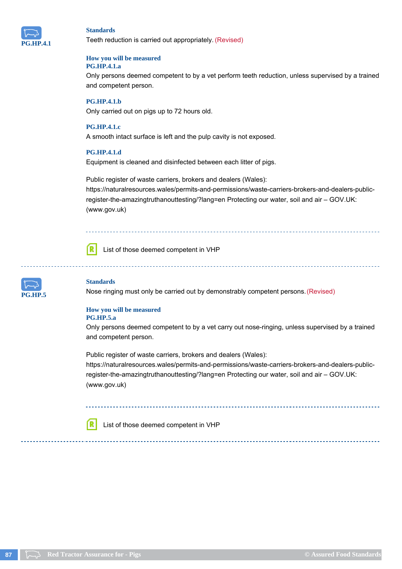

Teeth reduction is carried out appropriately. (Revised)

#### **How you will be measured PG.HP.4.1.a**

Only persons deemed competent to by a vet perform teeth reduction, unless supervised by a trained and competent person.

#### **PG.HP.4.1.b**

Only carried out on pigs up to 72 hours old.

#### **PG.HP.4.1.c**

A smooth intact surface is left and the pulp cavity is not exposed.

#### **PG.HP.4.1.d**

Equipment is cleaned and disinfected between each litter of pigs.

Public register of waste carriers, brokers and dealers (Wales): https://naturalresources.wales/permits-and-permissions/waste-carriers-brokers-and-dealers-publicregister-the-amazingtruthanouttesting/?lang=en Protecting our water, soil and air – GOV.UK: (www.gov.uk)



ſR

List of those deemed competent in VHP



#### **Standards**

Nose ringing must only be carried out by demonstrably competent persons. (Revised)

#### **How you will be measured PG.HP.5.a**

Only persons deemed competent to by a vet carry out nose-ringing, unless supervised by a trained and competent person.

Public register of waste carriers, brokers and dealers (Wales): https://naturalresources.wales/permits-and-permissions/waste-carriers-brokers-and-dealers-publicregister-the-amazingtruthanouttesting/?lang=en Protecting our water, soil and air – GOV.UK: (www.gov.uk)

List of those deemed competent in VHP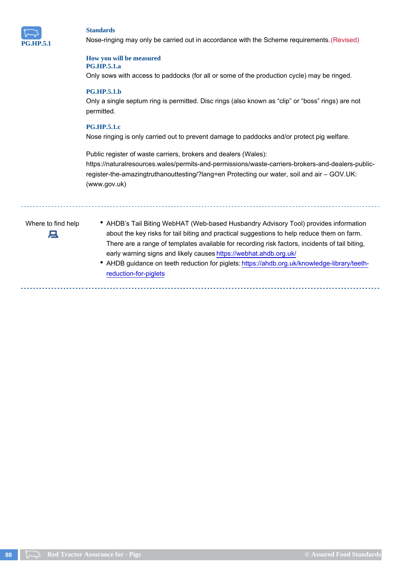

Nose-ringing may only be carried out in accordance with the Scheme requirements. (Revised)

#### **How you will be measured PG.HP.5.1.a**

Only sows with access to paddocks (for all or some of the production cycle) may be ringed.

#### **PG.HP.5.1.b**

Only a single septum ring is permitted. Disc rings (also known as "clip" or "boss" rings) are not permitted.

#### **PG.HP.5.1.c**

Nose ringing is only carried out to prevent damage to paddocks and/or protect pig welfare.

Public register of waste carriers, brokers and dealers (Wales): https://naturalresources.wales/permits-and-permissions/waste-carriers-brokers-and-dealers-publicregister-the-amazingtruthanouttesting/?lang=en Protecting our water, soil and air – GOV.UK: (www.gov.uk)



- Where to find help **CHALDB's Tail Biting WebHAT (Web-based Husbandry Advisory Tool) provides information** about the key risks for tail biting and practical suggestions to help reduce them on farm. There are a range of templates available for recording risk factors, incidents of tail biting, early warning signs and likely causes https://webhat.ahdb.org.uk/
	- AHDB guidance on teeth reduction for piglets: https://ahdb.org.uk/knowledge-library/teethreduction-for-piglets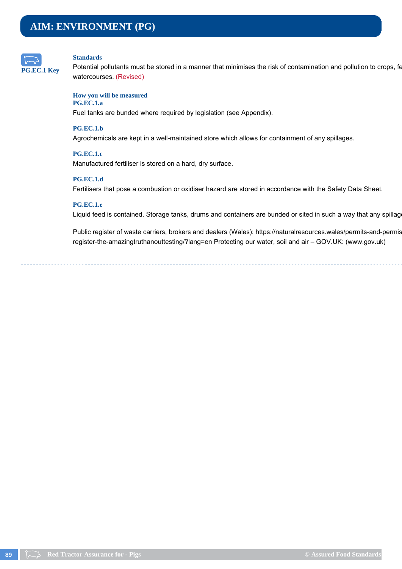

Potential pollutants must be stored in a manner that minimises the risk of contamination and pollution to crops, fe watercourses. (Revised)

#### **How you will be measured PG.EC.1.a**

## Fuel tanks are bunded where required by legislation (see Appendix).

#### **PG.EC.1.b**

Agrochemicals are kept in a well-maintained store which allows for containment of any spillages.

#### **PG.EC.1.c**

Manufactured fertiliser is stored on a hard, dry surface.

#### **PG.EC.1.d**

Fertilisers that pose a combustion or oxidiser hazard are stored in accordance with the Safety Data Sheet.

#### **PG.EC.1.e**

Liquid feed is contained. Storage tanks, drums and containers are bunded or sited in such a way that any spillag

Public register of waste carriers, brokers and dealers (Wales): https://naturalresources.wales/permits-and-permis register-the-amazingtruthanouttesting/?lang=en Protecting our water, soil and air – GOV.UK: (www.gov.uk)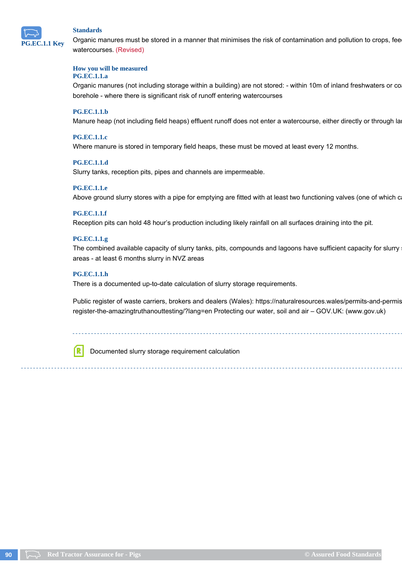

Organic manures must be stored in a manner that minimises the risk of contamination and pollution to crops, fee watercourses. (Revised)

#### **How you will be measured**

#### **PG.EC.1.1.a**

Organic manures (not including storage within a building) are not stored: - within 10m of inland freshwaters or co borehole - where there is significant risk of runoff entering watercourses

#### **PG.EC.1.1.b**

Manure heap (not including field heaps) effluent runoff does not enter a watercourse, either directly or through la

#### **PG.EC.1.1.c**

Where manure is stored in temporary field heaps, these must be moved at least every 12 months.

#### **PG.EC.1.1.d**

Slurry tanks, reception pits, pipes and channels are impermeable.

#### **PG.EC.1.1.e**

Above ground slurry stores with a pipe for emptying are fitted with at least two functioning valves (one of which c

#### **PG.EC.1.1.f**

Reception pits can hold 48 hour's production including likely rainfall on all surfaces draining into the pit.

#### **PG.EC.1.1.g**

The combined available capacity of slurry tanks, pits, compounds and lagoons have sufficient capacity for slurry areas - at least 6 months slurry in NVZ areas

#### **PG.EC.1.1.h**

There is a documented up-to-date calculation of slurry storage requirements.

Public register of waste carriers, brokers and dealers (Wales): https://naturalresources.wales/permits-and-permis register-the-amazingtruthanouttesting/?lang=en Protecting our water, soil and air – GOV.UK: (www.gov.uk)

Documented slurry storage requirement calculation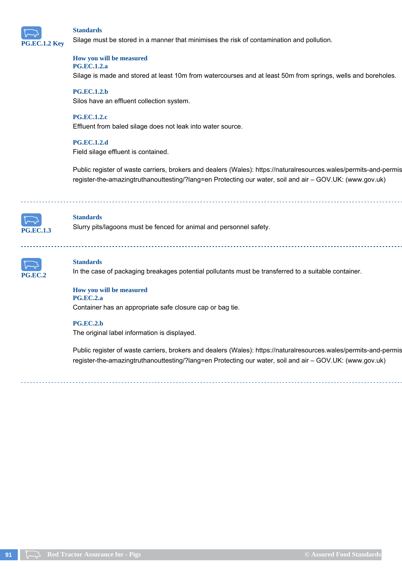

Silage must be stored in a manner that minimises the risk of contamination and pollution.

#### **How you will be measured PG.EC.1.2.a**

Silage is made and stored at least 10m from watercourses and at least 50m from springs, wells and boreholes.

#### **PG.EC.1.2.b**

Silos have an effluent collection system.

#### **PG.EC.1.2.c**

Effluent from baled silage does not leak into water source.

#### **PG.EC.1.2.d**

Field silage effluent is contained.

Public register of waste carriers, brokers and dealers (Wales): https://naturalresources.wales/permits-and-permis register-the-amazingtruthanouttesting/?lang=en Protecting our water, soil and air – GOV.UK: (www.gov.uk)



#### **Standards**

Slurry pits/lagoons must be fenced for animal and personnel safety.



#### **Standards**

In the case of packaging breakages potential pollutants must be transferred to a suitable container.



Container has an appropriate safe closure cap or bag tie.

#### **PG.EC.2.b**

The original label information is displayed.

Public register of waste carriers, brokers and dealers (Wales): https://naturalresources.wales/permits-and-permis register-the-amazingtruthanouttesting/?lang=en Protecting our water, soil and air – GOV.UK: (www.gov.uk)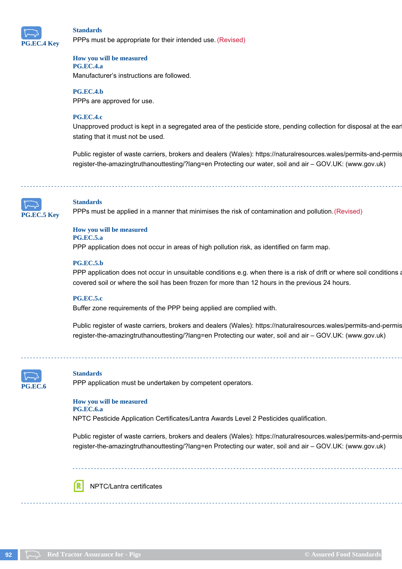

PPPs must be appropriate for their intended use. (Revised)

#### **How you will be measured PG.EC.4.a**

Manufacturer's instructions are followed.

#### **PG.EC.4.b**

PPPs are approved for use.

#### **PG.EC.4.c**

Unapproved product is kept in a segregated area of the pesticide store, pending collection for disposal at the ear stating that it must not be used.

Public register of waste carriers, brokers and dealers (Wales): https://naturalresources.wales/permits-and-permis register-the-amazingtruthanouttesting/?lang=en Protecting our water, soil and air – GOV.UK: (www.gov.uk)



#### **Standards**

PPPs must be applied in a manner that minimises the risk of contamination and pollution. (Revised)

#### **How you will be measured**

#### **PG.EC.5.a**

PPP application does not occur in areas of high pollution risk, as identified on farm map.

#### **PG.EC.5.b**

PPP application does not occur in unsuitable conditions e.g. when there is a risk of drift or where soil conditions a covered soil or where the soil has been frozen for more than 12 hours in the previous 24 hours.

#### **PG.EC.5.c**

Buffer zone requirements of the PPP being applied are complied with.

Public register of waste carriers, brokers and dealers (Wales): https://naturalresources.wales/permits-and-permis register-the-amazingtruthanouttesting/?lang=en Protecting our water, soil and air – GOV.UK: (www.gov.uk)



#### **Standards**

PPP application must be undertaken by competent operators.

#### **How you will be measured PG.EC.6.a**

NPTC Pesticide Application Certificates/Lantra Awards Level 2 Pesticides qualification.

Public register of waste carriers, brokers and dealers (Wales): https://naturalresources.wales/permits-and-permis register-the-amazingtruthanouttesting/?lang=en Protecting our water, soil and air – GOV.UK: (www.gov.uk)

NPTC/Lantra certificates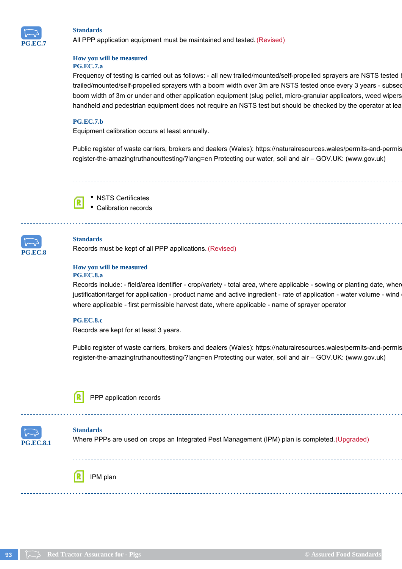

All PPP application equipment must be maintained and tested. (Revised)

#### **How you will be measured PG.EC.7.a**

Frequency of testing is carried out as follows: - all new trailed/mounted/self-propelled sprayers are NSTS tested I trailed/mounted/self-propelled sprayers with a boom width over 3m are NSTS tested once every 3 years - subseq boom width of 3m or under and other application equipment (slug pellet, micro-granular applicators, weed wipers handheld and pedestrian equipment does not require an NSTS test but should be checked by the operator at lea

#### **PG.EC.7.b**

Equipment calibration occurs at least annually.

Public register of waste carriers, brokers and dealers (Wales): https://naturalresources.wales/permits-and-permis register-the-amazingtruthanouttesting/?lang=en Protecting our water, soil and air – GOV.UK: (www.gov.uk)

NSTS Certificates Calibration records



#### **Standards**

Records must be kept of all PPP applications. (Revised)

#### **How you will be measured PG.EC.8.a**

Records include: - field/area identifier - crop/variety - total area, where applicable - sowing or planting date, wher justification/target for application - product name and active ingredient - rate of application - water volume - wind where applicable - first permissible harvest date, where applicable - name of sprayer operator

#### **PG.EC.8.c**

Records are kept for at least 3 years.

Public register of waste carriers, brokers and dealers (Wales): https://naturalresources.wales/permits-and-permis register-the-amazingtruthanouttesting/?lang=en Protecting our water, soil and air – GOV.UK: (www.gov.uk)



PPP application records



#### **Standards**

Where PPPs are used on crops an Integrated Pest Management (IPM) plan is completed. (Upgraded)

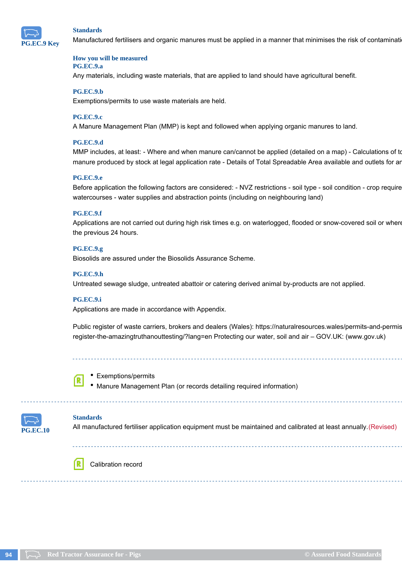

Manufactured fertilisers and organic manures must be applied in a manner that minimises the risk of contaminati

#### **How you will be measured PG.EC.9.a**

Any materials, including waste materials, that are applied to land should have agricultural benefit.

#### **PG.EC.9.b**

Exemptions/permits to use waste materials are held.

#### **PG.EC.9.c**

A Manure Management Plan (MMP) is kept and followed when applying organic manures to land.

#### **PG.EC.9.d**

MMP includes, at least: - Where and when manure can/cannot be applied (detailed on a map) - Calculations of to manure produced by stock at legal application rate - Details of Total Spreadable Area available and outlets for an

#### **PG.EC.9.e**

Before application the following factors are considered: - NVZ restrictions - soil type - soil condition - crop require watercourses - water supplies and abstraction points (including on neighbouring land)

#### **PG.EC.9.f**

Applications are not carried out during high risk times e.g. on waterlogged, flooded or snow-covered soil or where the previous 24 hours.

#### **PG.EC.9.g**

Biosolids are assured under the Biosolids Assurance Scheme.

#### **PG.EC.9.h**

Untreated sewage sludge, untreated abattoir or catering derived animal by-products are not applied.

#### **PG.EC.9.i**

Applications are made in accordance with Appendix.

Public register of waste carriers, brokers and dealers (Wales): https://naturalresources.wales/permits-and-permis register-the-amazingtruthanouttesting/?lang=en Protecting our water, soil and air – GOV.UK: (www.gov.uk)



#### • Exemptions/permits

Manure Management Plan (or records detailing required information)



#### **Standards**

All manufactured fertiliser application equipment must be maintained and calibrated at least annually. (Revised)



Calibration record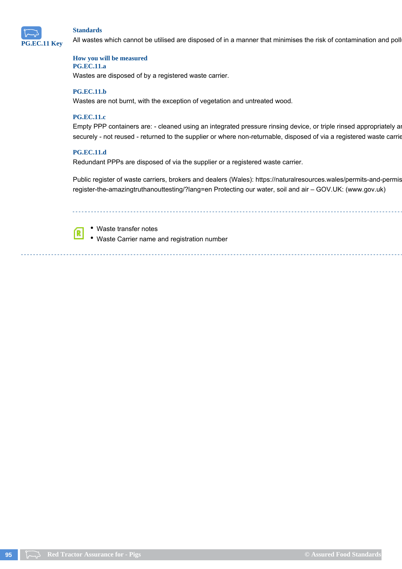

All wastes which cannot be utilised are disposed of in a manner that minimises the risk of contamination and poll

#### **How you will be measured PG.EC.11.a**

Wastes are disposed of by a registered waste carrier.

#### **PG.EC.11.b**

Wastes are not burnt, with the exception of vegetation and untreated wood.

#### **PG.EC.11.c**

Empty PPP containers are: - cleaned using an integrated pressure rinsing device, or triple rinsed appropriately and the rinsate returned to the spray tank and the spray tank and the spray tank and spray tank and spray tank securely - not reused - returned to the supplier or where non-returnable, disposed of via a registered waste carrie

#### **PG.EC.11.d**

í R

Redundant PPPs are disposed of via the supplier or a registered waste carrier.

Public register of waste carriers, brokers and dealers (Wales): https://naturalresources.wales/permits-and-permis register-the-amazingtruthanouttesting/?lang=en Protecting our water, soil and air – GOV.UK: (www.gov.uk)

Waste transfer notes

Waste Carrier name and registration number